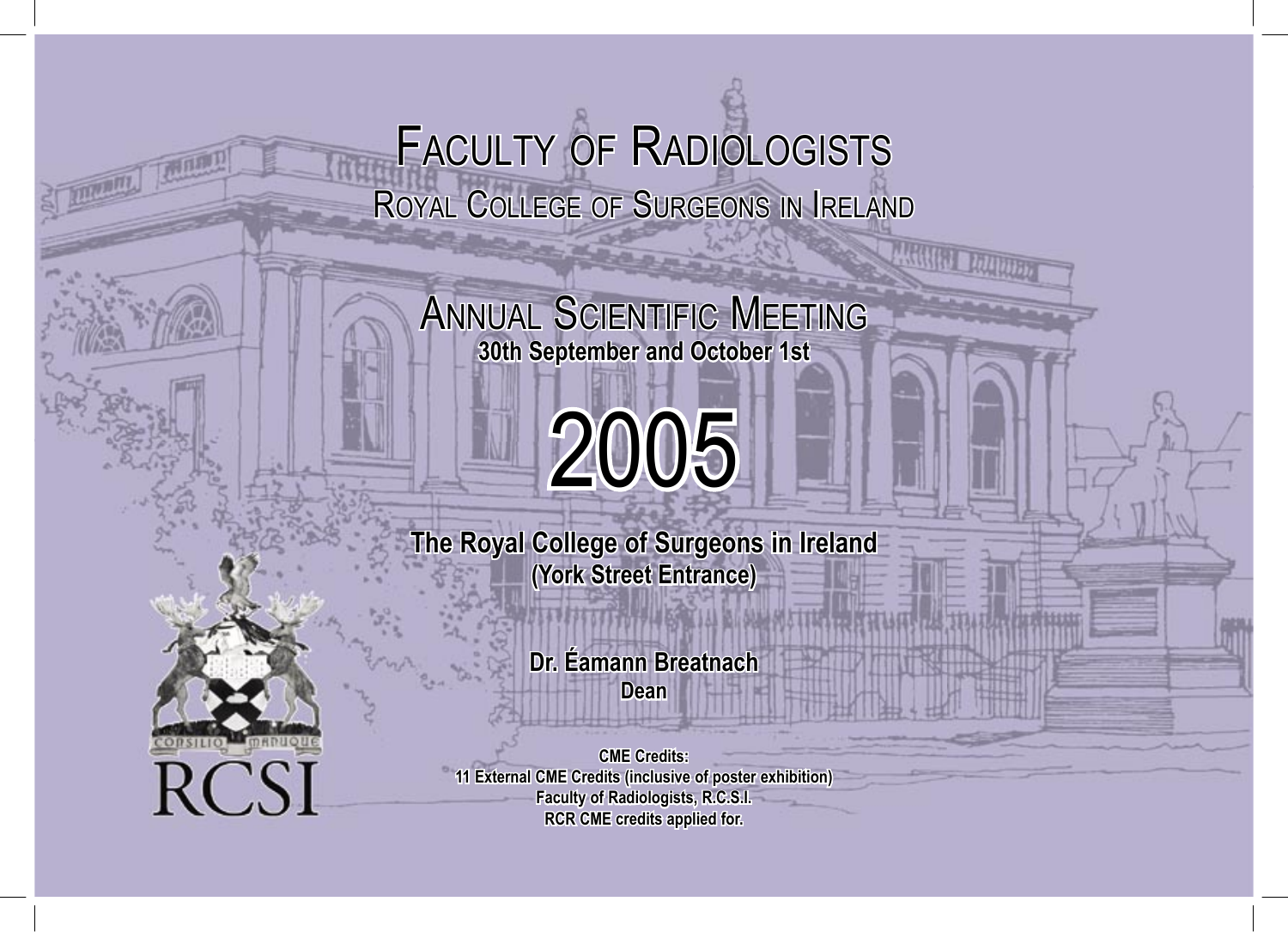# FACULTY OF RADIOLOGISTS ROYAL COLLEGE OF SURGEONS IN IRELAND

ANNUAL SCIENTIFIC MEETING **30th September and October 1st**

# 2005

**The Royal College of Surgeons in Ireland (York Street Entrance)**

> **Dr. Éamann Breatnach Dean**



**CME Credits: 11 External CME Credits (inclusive of poster exhibition) Faculty of Radiologists, R.C.S.I. RCR CME credits applied for.**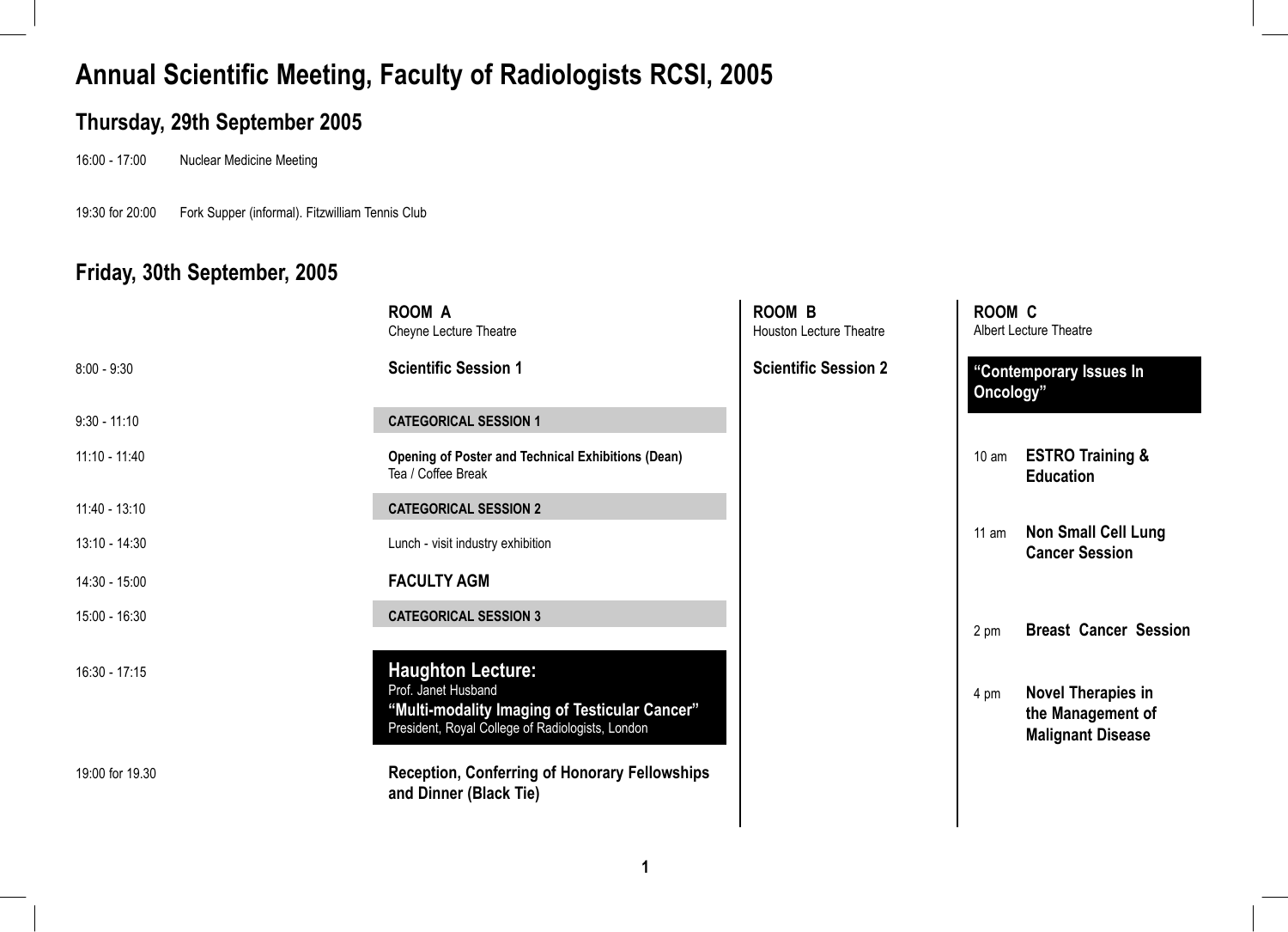### **Thursday, 29th September 2005**

16:00 - 17:00 Nuclear Medicine Meeting

19:30 for 20:00 Fork Supper (informal). Fitzwilliam Tennis Club

### **Friday, 30th September, 2005**

|                 | <b>ROOM A</b><br>Cheyne Lecture Theatre                                                                                                              | <b>ROOM B</b><br><b>Houston Lecture Theatre</b> | ROOM C          | <b>Albert Lecture Theatre</b>                                              |
|-----------------|------------------------------------------------------------------------------------------------------------------------------------------------------|-------------------------------------------------|-----------------|----------------------------------------------------------------------------|
| $8:00 - 9:30$   | <b>Scientific Session 1</b>                                                                                                                          | <b>Scientific Session 2</b>                     | Oncology"       | "Contemporary Issues In                                                    |
| $9:30 - 11:10$  | <b>CATEGORICAL SESSION 1</b>                                                                                                                         |                                                 |                 |                                                                            |
| $11:10 - 11:40$ | <b>Opening of Poster and Technical Exhibitions (Dean)</b><br>Tea / Coffee Break                                                                      |                                                 | $10 \text{ am}$ | <b>ESTRO Training &amp;</b><br><b>Education</b>                            |
| $11:40 - 13:10$ | <b>CATEGORICAL SESSION 2</b>                                                                                                                         |                                                 |                 |                                                                            |
| 13:10 - 14:30   | Lunch - visit industry exhibition                                                                                                                    |                                                 | 11 am           | <b>Non Small Cell Lung</b><br><b>Cancer Session</b>                        |
| 14:30 - 15:00   | <b>FACULTY AGM</b>                                                                                                                                   |                                                 |                 |                                                                            |
| 15:00 - 16:30   | <b>CATEGORICAL SESSION 3</b>                                                                                                                         |                                                 | 2 pm            | <b>Breast Cancer Session</b>                                               |
| 16:30 - 17:15   | <b>Haughton Lecture:</b><br>Prof. Janet Husband<br>"Multi-modality Imaging of Testicular Cancer"<br>President, Royal College of Radiologists, London |                                                 | 4 pm            | <b>Novel Therapies in</b><br>the Management of<br><b>Malignant Disease</b> |
| 19:00 for 19.30 | <b>Reception, Conferring of Honorary Fellowships</b><br>and Dinner (Black Tie)                                                                       |                                                 |                 |                                                                            |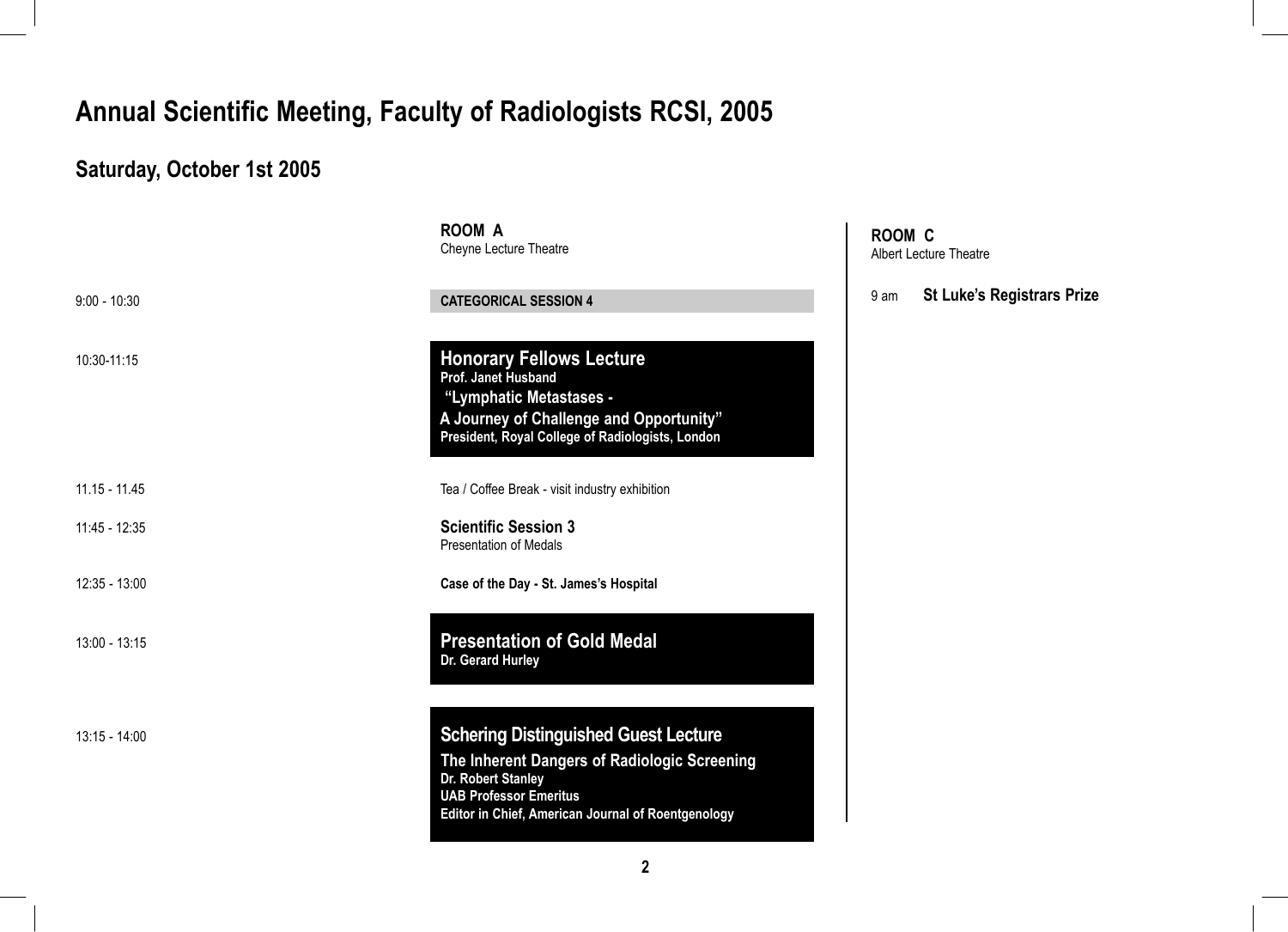# **Saturday, October 1st 2005**

|                 | <b>ROOM A</b><br>Cheyne Lecture Theatre                                                                                                                                                                  | R <sub>O</sub><br>Albe |
|-----------------|----------------------------------------------------------------------------------------------------------------------------------------------------------------------------------------------------------|------------------------|
| $9:00 - 10:30$  | <b>CATEGORICAL SESSION 4</b>                                                                                                                                                                             | 9 ar                   |
| 10:30-11:15     | <b>Honorary Fellows Lecture</b><br>Prof. Janet Husband<br>"Lymphatic Metastases -<br>A Journey of Challenge and Opportunity"<br>President, Royal College of Radiologists, London                         |                        |
| $11.15 - 11.45$ | Tea / Coffee Break - visit industry exhibition                                                                                                                                                           |                        |
| 11:45 - 12:35   | <b>Scientific Session 3</b><br><b>Presentation of Medals</b>                                                                                                                                             |                        |
| $12:35 - 13:00$ | Case of the Day - St. James's Hospital                                                                                                                                                                   |                        |
| 13:00 - 13:15   | <b>Presentation of Gold Medal</b><br>Dr. Gerard Hurley                                                                                                                                                   |                        |
| $13:15 - 14:00$ | <b>Schering Distinguished Guest Lecture</b><br>The Inherent Dangers of Radiologic Screening<br>Dr. Robert Stanley<br><b>UAB Professor Emeritus</b><br>Editor in Chief, American Journal of Roentgenology |                        |

**ROOM C** ert Lecture Theatre

#### 9 am **St Luke's Registrars Prize**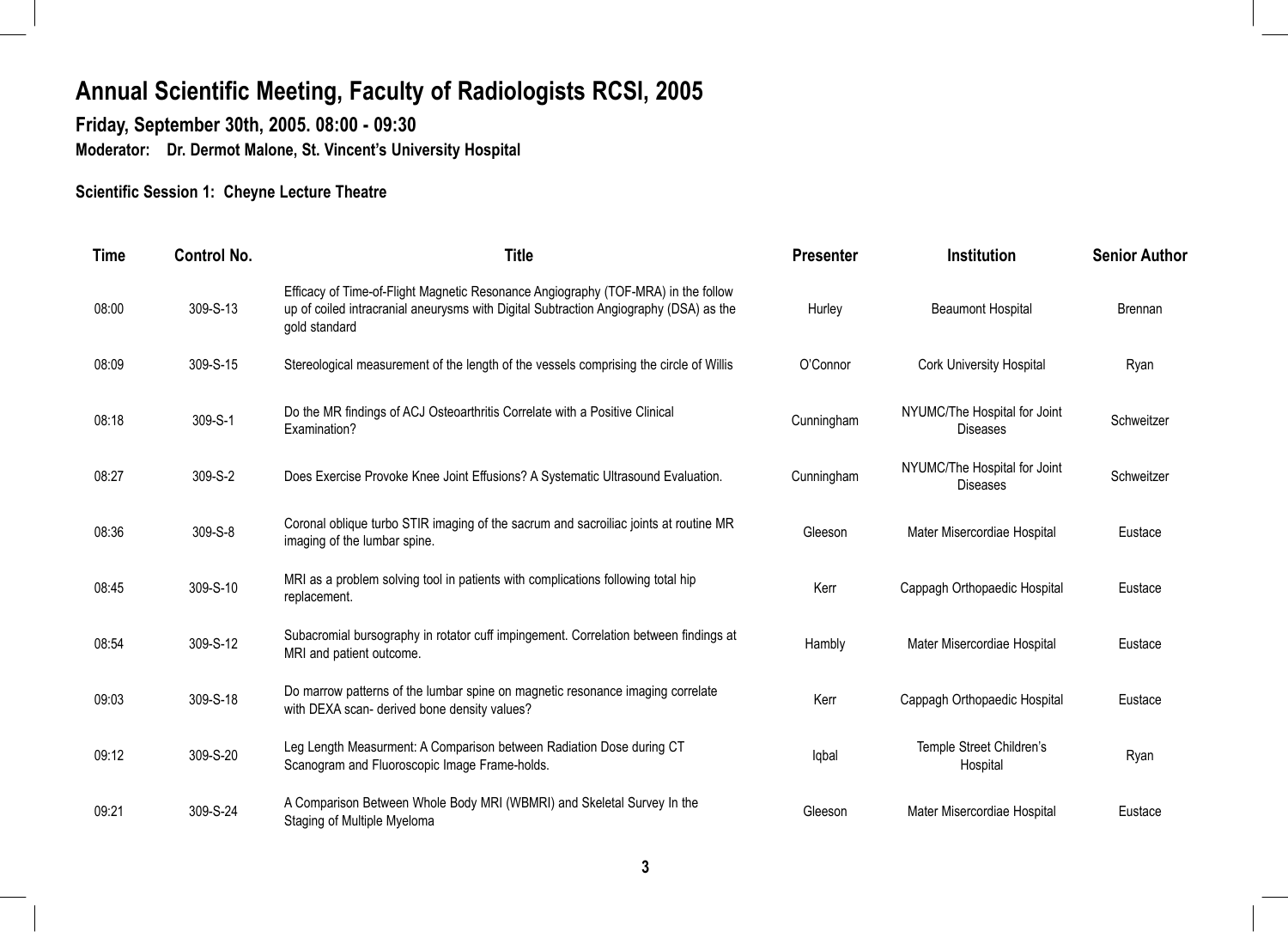**Friday, September 30th, 2005. 08:00 - 09:30 Moderator: Dr. Dermot Malone, St. Vincent's University Hospital** 

#### **Scientific Session 1: Cheyne Lecture Theatre**

| <b>Time</b> | <b>Control No.</b> | <b>Title</b>                                                                                                                                                                                | <b>Presenter</b> | <b>Institution</b>                              | <b>Senior Author</b> |
|-------------|--------------------|---------------------------------------------------------------------------------------------------------------------------------------------------------------------------------------------|------------------|-------------------------------------------------|----------------------|
| 08:00       | 309-S-13           | Efficacy of Time-of-Flight Magnetic Resonance Angiography (TOF-MRA) in the follow<br>up of coiled intracranial aneurysms with Digital Subtraction Angiography (DSA) as the<br>gold standard | Hurley           | <b>Beaumont Hospital</b>                        | <b>Brennan</b>       |
| 08:09       | 309-S-15           | Stereological measurement of the length of the vessels comprising the circle of Willis                                                                                                      | O'Connor         | <b>Cork University Hospital</b>                 | Ryan                 |
| 08:18       | 309-S-1            | Do the MR findings of ACJ Osteoarthritis Correlate with a Positive Clinical<br>Examination?                                                                                                 | Cunningham       | NYUMC/The Hospital for Joint<br><b>Diseases</b> | Schweitzer           |
| 08:27       | 309-S-2            | Does Exercise Provoke Knee Joint Effusions? A Systematic Ultrasound Evaluation.                                                                                                             | Cunningham       | NYUMC/The Hospital for Joint<br><b>Diseases</b> | Schweitzer           |
| 08:36       | 309-S-8            | Coronal oblique turbo STIR imaging of the sacrum and sacroiliac joints at routine MR<br>imaging of the lumbar spine.                                                                        | Gleeson          | Mater Misercordiae Hospital                     | Eustace              |
| 08:45       | 309-S-10           | MRI as a problem solving tool in patients with complications following total hip<br>replacement.                                                                                            | Kerr             | Cappagh Orthopaedic Hospital                    | Eustace              |
| 08:54       | 309-S-12           | Subacromial bursography in rotator cuff impingement. Correlation between findings at<br>MRI and patient outcome.                                                                            | Hambly           | Mater Misercordiae Hospital                     | Eustace              |
| 09:03       | 309-S-18           | Do marrow patterns of the lumbar spine on magnetic resonance imaging correlate<br>with DEXA scan- derived bone density values?                                                              | Kerr             | Cappagh Orthopaedic Hospital                    | Eustace              |
| 09:12       | 309-S-20           | Leg Length Measurment: A Comparison between Radiation Dose during CT<br>Scanogram and Fluoroscopic Image Frame-holds.                                                                       | Iqbal            | Temple Street Children's<br>Hospital            | Ryan                 |
| 09:21       | 309-S-24           | A Comparison Between Whole Body MRI (WBMRI) and Skeletal Survey In the<br>Staging of Multiple Myeloma                                                                                       | Gleeson          | Mater Misercordiae Hospital                     | Eustace              |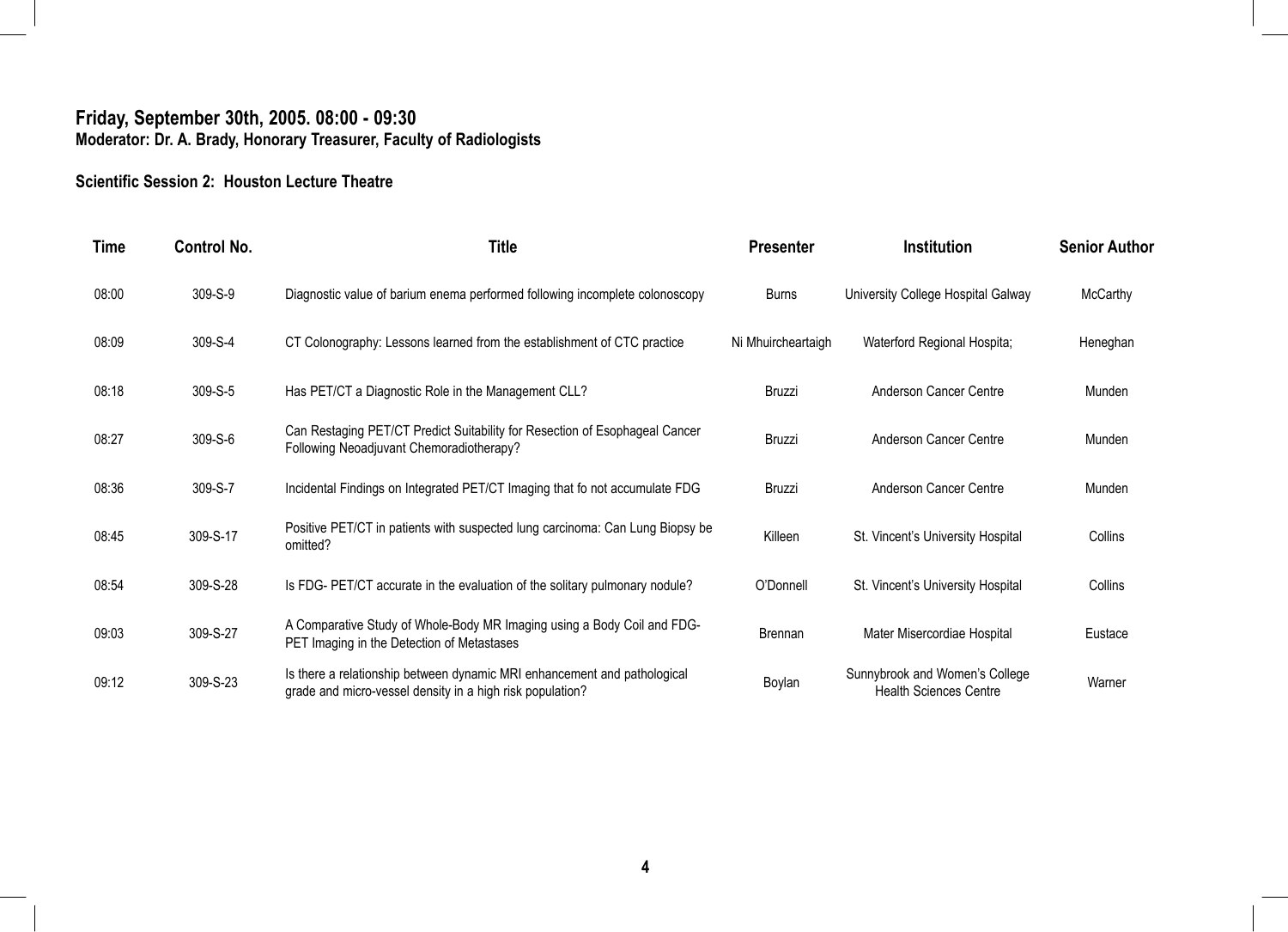#### **Friday, September 30th, 2005. 08:00 - 09:30 Moderator: Dr. A. Brady, Honorary Treasurer, Faculty of Radiologists**

#### **Scientific Session 2: Houston Lecture Theatre**

| Time  | <b>Control No.</b> | <b>Title</b>                                                                                                                          | <b>Presenter</b>   | <b>Institution</b>                                              | <b>Senior Author</b> |
|-------|--------------------|---------------------------------------------------------------------------------------------------------------------------------------|--------------------|-----------------------------------------------------------------|----------------------|
| 08:00 | 309-S-9            | Diagnostic value of barium enema performed following incomplete colonoscopy                                                           | <b>Burns</b>       | University College Hospital Galway                              | <b>McCarthy</b>      |
| 08:09 | 309-S-4            | CT Colonography: Lessons learned from the establishment of CTC practice                                                               | Ni Mhuircheartaigh | Waterford Regional Hospita;                                     | Heneghan             |
| 08:18 | 309-S-5            | Has PET/CT a Diagnostic Role in the Management CLL?                                                                                   | <b>Bruzzi</b>      | Anderson Cancer Centre                                          | Munden               |
| 08:27 | 309-S-6            | Can Restaging PET/CT Predict Suitability for Resection of Esophageal Cancer<br>Following Neoadjuvant Chemoradiotherapy?               | Bruzzi             | Anderson Cancer Centre                                          | Munden               |
| 08:36 | 309-S-7            | Incidental Findings on Integrated PET/CT Imaging that fo not accumulate FDG                                                           | <b>Bruzzi</b>      | Anderson Cancer Centre                                          | Munden               |
| 08:45 | 309-S-17           | Positive PET/CT in patients with suspected lung carcinoma: Can Lung Biopsy be<br>omitted?                                             | Killeen            | St. Vincent's University Hospital                               | Collins              |
| 08:54 | 309-S-28           | Is FDG- PET/CT accurate in the evaluation of the solitary pulmonary nodule?                                                           | O'Donnell          | St. Vincent's University Hospital                               | Collins              |
| 09:03 | 309-S-27           | A Comparative Study of Whole-Body MR Imaging using a Body Coil and FDG-<br>PET Imaging in the Detection of Metastases                 | Brennan            | Mater Misercordiae Hospital                                     | Eustace              |
| 09:12 | 309-S-23           | Is there a relationship between dynamic MRI enhancement and pathological<br>grade and micro-vessel density in a high risk population? | Boylan             | Sunnybrook and Women's College<br><b>Health Sciences Centre</b> | Warner               |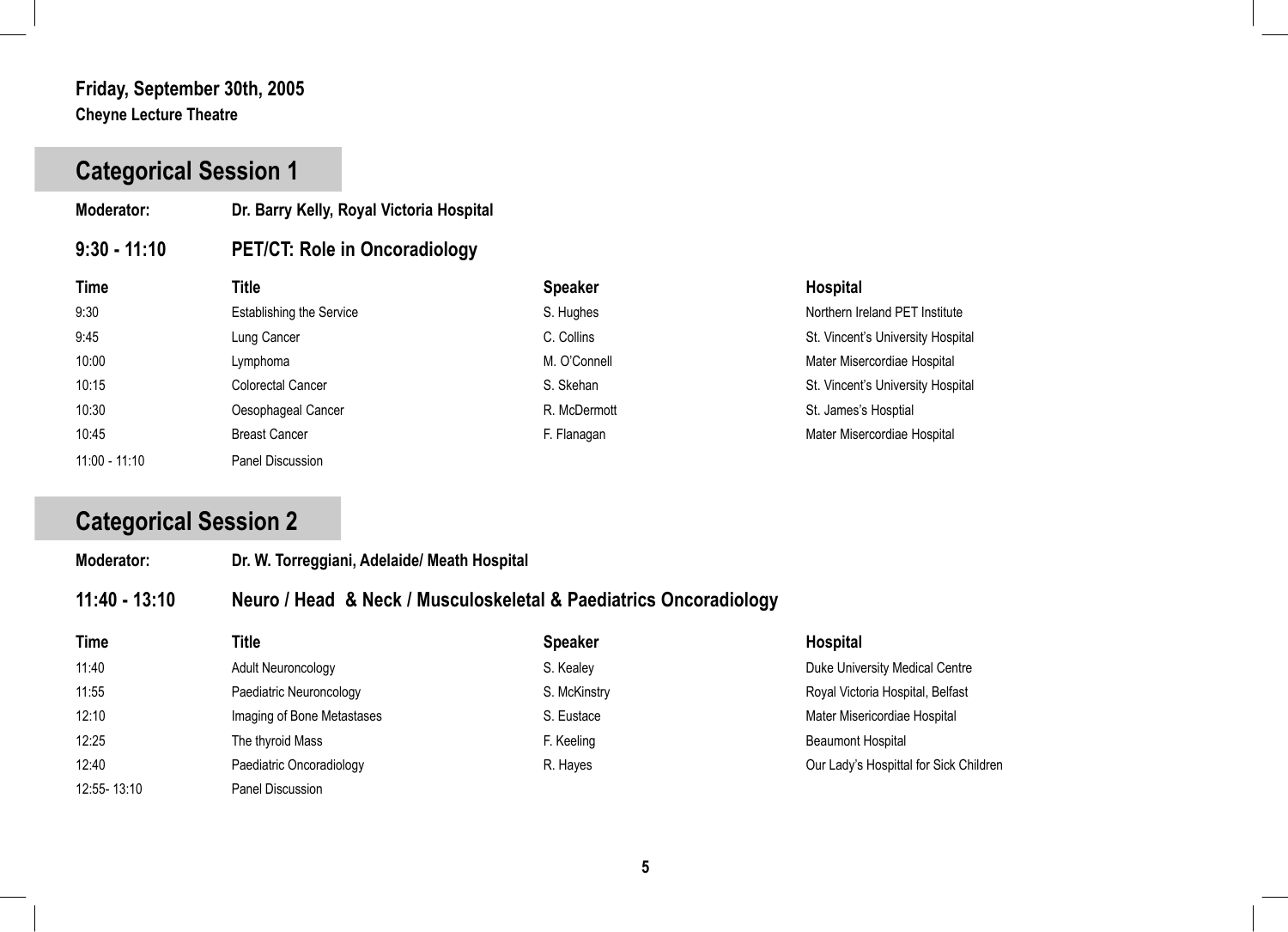#### **Friday, September 30th, 2005 Cheyne Lecture Theatre**

# **Categorical Session 1**

- **Moderator: Dr. Barry Kelly, Royal Victoria Hospital**
- **9:30 11:10 PET/CT: Role in Oncoradiology**

| <b>Time</b>     | Title                           | <b>Speaker</b> | <b>Hospital</b>                   |
|-----------------|---------------------------------|----------------|-----------------------------------|
| 9:30            | <b>Establishing the Service</b> | S. Hughes      | Northern Ireland PET Institute    |
| 9:45            | Lung Cancer                     | C. Collins     | St. Vincent's University Hospital |
| 10:00           | Lymphoma                        | M. O'Connell   | Mater Misercordiae Hospital       |
| 10:15           | Colorectal Cancer               | S. Skehan      | St. Vincent's University Hospital |
| 10:30           | Oesophageal Cancer              | R. McDermott   | St. James's Hosptial              |
| 10:45           | <b>Breast Cancer</b>            | F. Flanagan    | Mater Misercordiae Hospital       |
| $11:00 - 11:10$ | Panel Discussion                |                |                                   |

# **Categorical Session 2**

| Moderator:       | Dr. W. Torreggiani, Adelaide/ Meath Hospital                      |                                       |              |
|------------------|-------------------------------------------------------------------|---------------------------------------|--------------|
| 11:40 - 13:10    | Neuro / Head & Neck / Musculoskeletal & Paediatrics Oncoradiology |                                       |              |
| $T_{\text{max}}$ | TH .                                                              | $P_{\text{max}}$ and $P_{\text{max}}$ | المفارد والل |

| <b>Time</b> | Title                      | <b>Speaker</b> | <b>Hospital</b>                        |
|-------------|----------------------------|----------------|----------------------------------------|
| 11:40       | <b>Adult Neuroncology</b>  | S. Kealey      | Duke University Medical Centre         |
| 11:55       | Paediatric Neuroncology    | S. McKinstry   | Royal Victoria Hospital, Belfast       |
| 12:10       | Imaging of Bone Metastases | S. Eustace     | Mater Misericordiae Hospital           |
| 12:25       | The thyroid Mass           | F. Keeling     | <b>Beaumont Hospital</b>               |
| 12:40       | Paediatric Oncoradiology   | R. Hayes       | Our Lady's Hospittal for Sick Children |
| 12:55-13:10 | Panel Discussion           |                |                                        |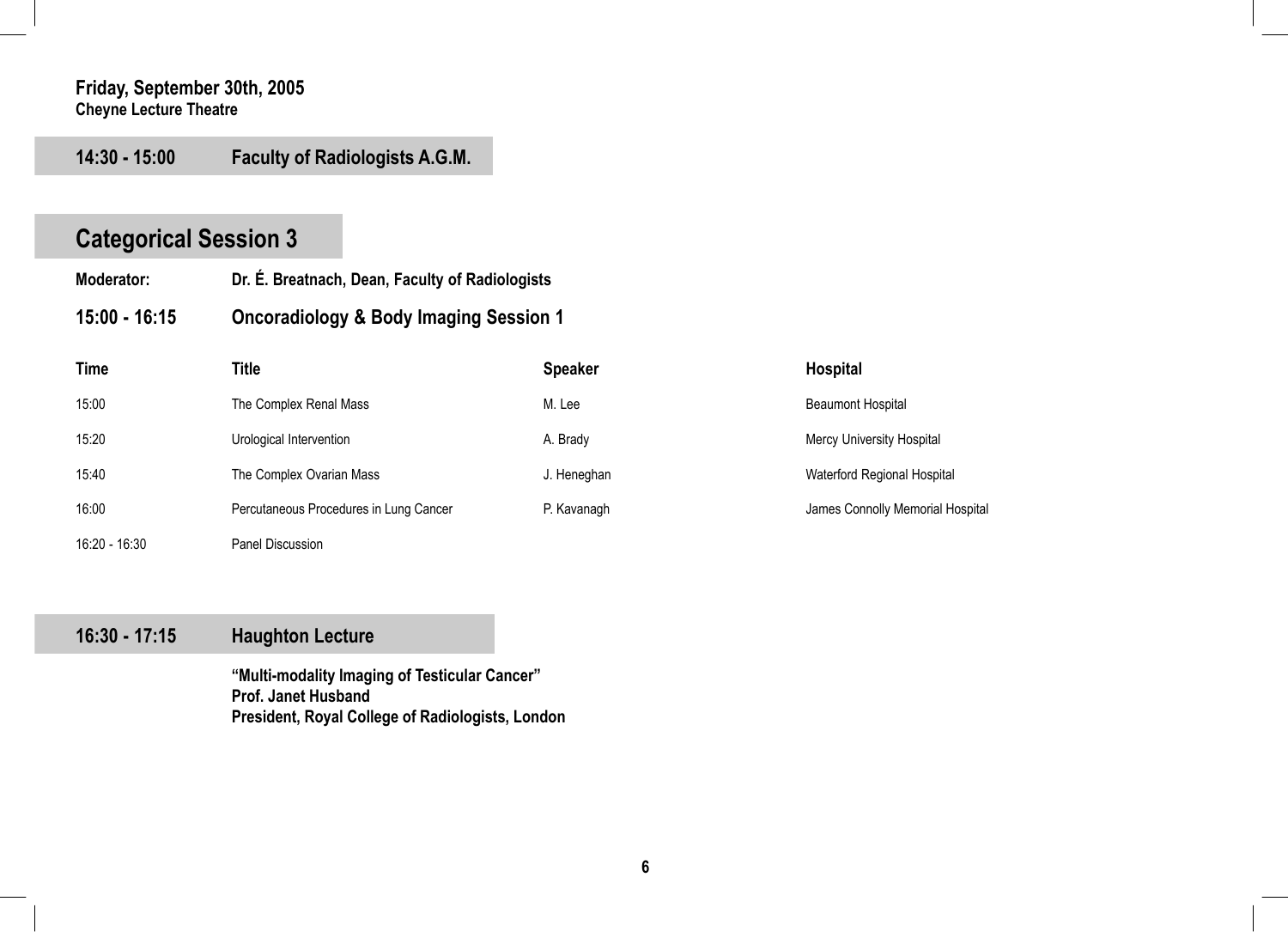#### **Friday, September 30th, 2005 Cheyne Lecture Theatre**

**14:30 - 15:00 Faculty of Radiologists A.G.M.** 

# **Categorical Session 3**

- **Moderator: Dr. É. Breatnach, Dean, Faculty of Radiologists**
- **15:00 16:15 Oncoradiology & Body Imaging Session 1**

| Time          | Title                                  | <b>Speaker</b> | <b>Hospital</b>                  |
|---------------|----------------------------------------|----------------|----------------------------------|
| 15:00         | The Complex Renal Mass                 | M. Lee         | <b>Beaumont Hospital</b>         |
| 15:20         | Urological Intervention                | A. Brady       | Mercy University Hospital        |
| 15:40         | The Complex Ovarian Mass               | J. Heneghan    | Waterford Regional Hospital      |
| 16:00         | Percutaneous Procedures in Lung Cancer | P. Kavanagh    | James Connolly Memorial Hospital |
| 16:20 - 16:30 | Panel Discussion                       |                |                                  |

### **16:30 - 17:15 Haughton Lecture**

**"Multi-modality Imaging of Testicular Cancer" Prof. Janet Husband President, Royal College of Radiologists, London**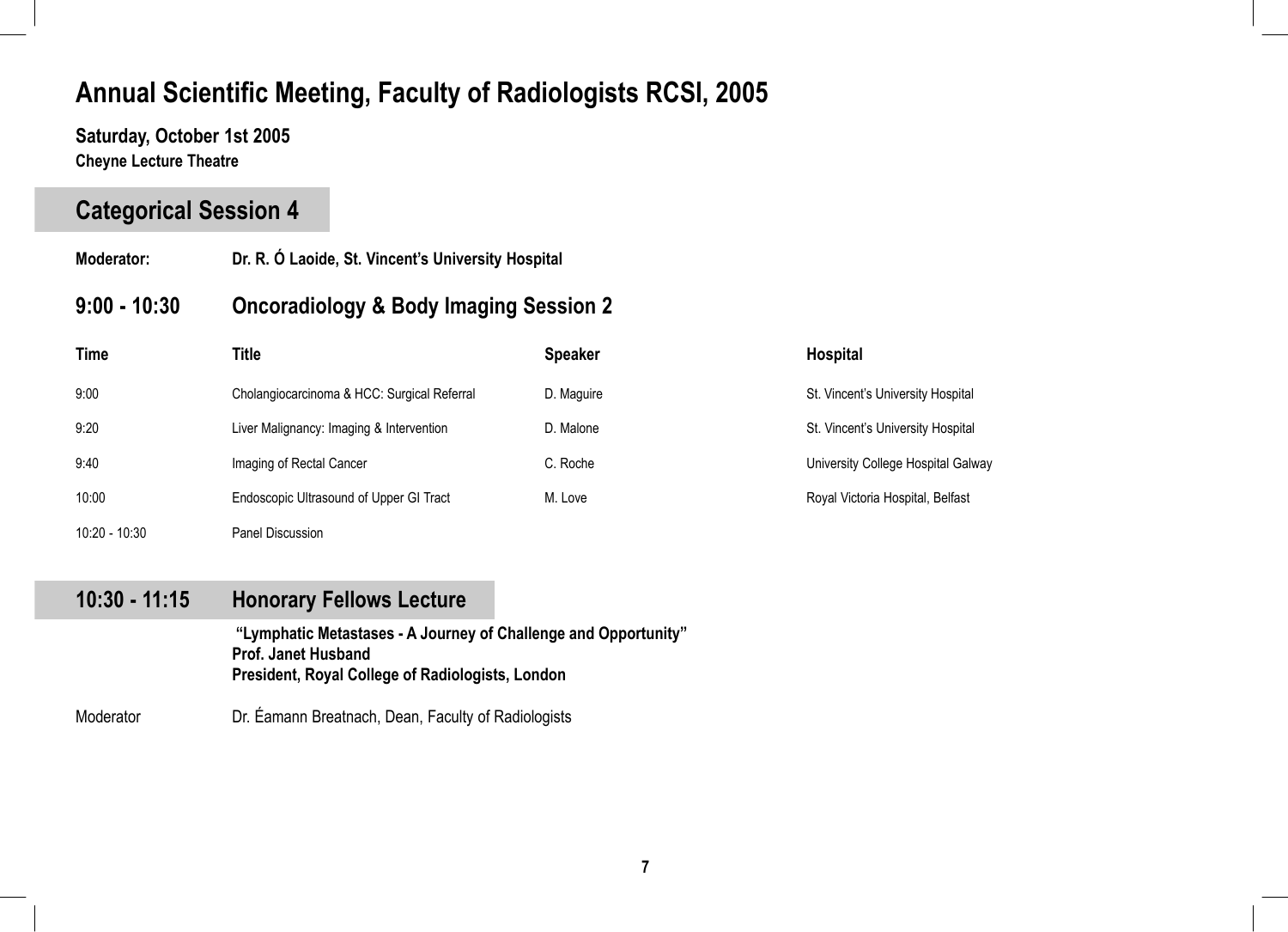**Saturday, October 1st 2005 Cheyne Lecture Theatre** 

l

## **Categorical Session 4**

- **Moderator: Dr. R. Ó Laoide, St. Vincent's University Hospital**
- **9:00 10:30 Oncoradiology & Body Imaging Session 2**

| <b>Time</b>   | Title                                       | <b>Speaker</b> | <b>Hospital</b>                    |
|---------------|---------------------------------------------|----------------|------------------------------------|
| 9:00          | Cholangiocarcinoma & HCC: Surgical Referral | D. Maguire     | St. Vincent's University Hospital  |
| 9:20          | Liver Malignancy: Imaging & Intervention    | D. Malone      | St. Vincent's University Hospital  |
| 9:40          | Imaging of Rectal Cancer                    | C. Roche       | University College Hospital Galway |
| 10:00         | Endoscopic Ultrasound of Upper GI Tract     | M. Love        | Royal Victoria Hospital, Belfast   |
| 10:20 - 10:30 | Panel Discussion                            |                |                                    |

### **10:30 - 11:15 Honorary Fellows Lecture**

 **"Lymphatic Metastases - A Journey of Challenge and Opportunity" Prof. Janet Husband President, Royal College of Radiologists, London**

Moderator **Dr. Éamann Breatnach, Dean, Faculty of Radiologists**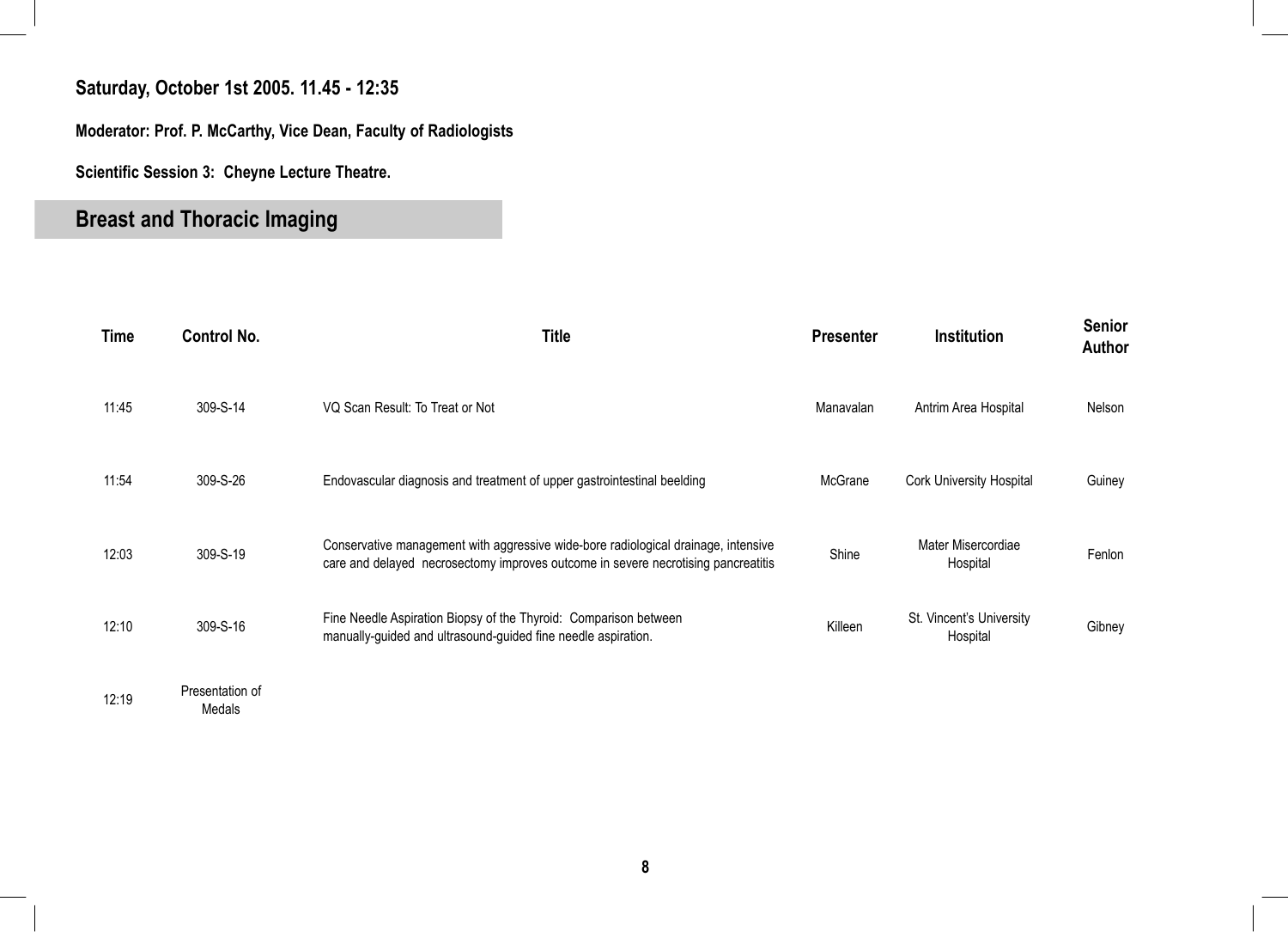### **Saturday, October 1st 2005. 11.45 - 12:35**

**Moderator: Prof. P. McCarthy, Vice Dean, Faculty of Radiologists**

**Scientific Session 3: Cheyne Lecture Theatre.** 

# **Breast and Thoracic Imaging**

| Time  | <b>Control No.</b>          | Title                                                                                                                                                                   | <b>Presenter</b> | <b>Institution</b>                   | <b>Senior</b><br>Author |
|-------|-----------------------------|-------------------------------------------------------------------------------------------------------------------------------------------------------------------------|------------------|--------------------------------------|-------------------------|
| 11:45 | 309-S-14                    | VQ Scan Result: To Treat or Not                                                                                                                                         | Manavalan        | Antrim Area Hospital                 | Nelson                  |
| 11:54 | 309-S-26                    | Endovascular diagnosis and treatment of upper gastrointestinal beelding                                                                                                 | McGrane          | <b>Cork University Hospital</b>      | Guiney                  |
| 12:03 | 309-S-19                    | Conservative management with aggressive wide-bore radiological drainage, intensive<br>care and delayed necrosectomy improves outcome in severe necrotising pancreatitis | Shine            | Mater Misercordiae<br>Hospital       | Fenlon                  |
| 12:10 | 309-S-16                    | Fine Needle Aspiration Biopsy of the Thyroid: Comparison between<br>manually-guided and ultrasound-guided fine needle aspiration.                                       | Killeen          | St. Vincent's University<br>Hospital | Gibney                  |
| 12:19 | Presentation of<br>$M = -1$ |                                                                                                                                                                         |                  |                                      |                         |

Medals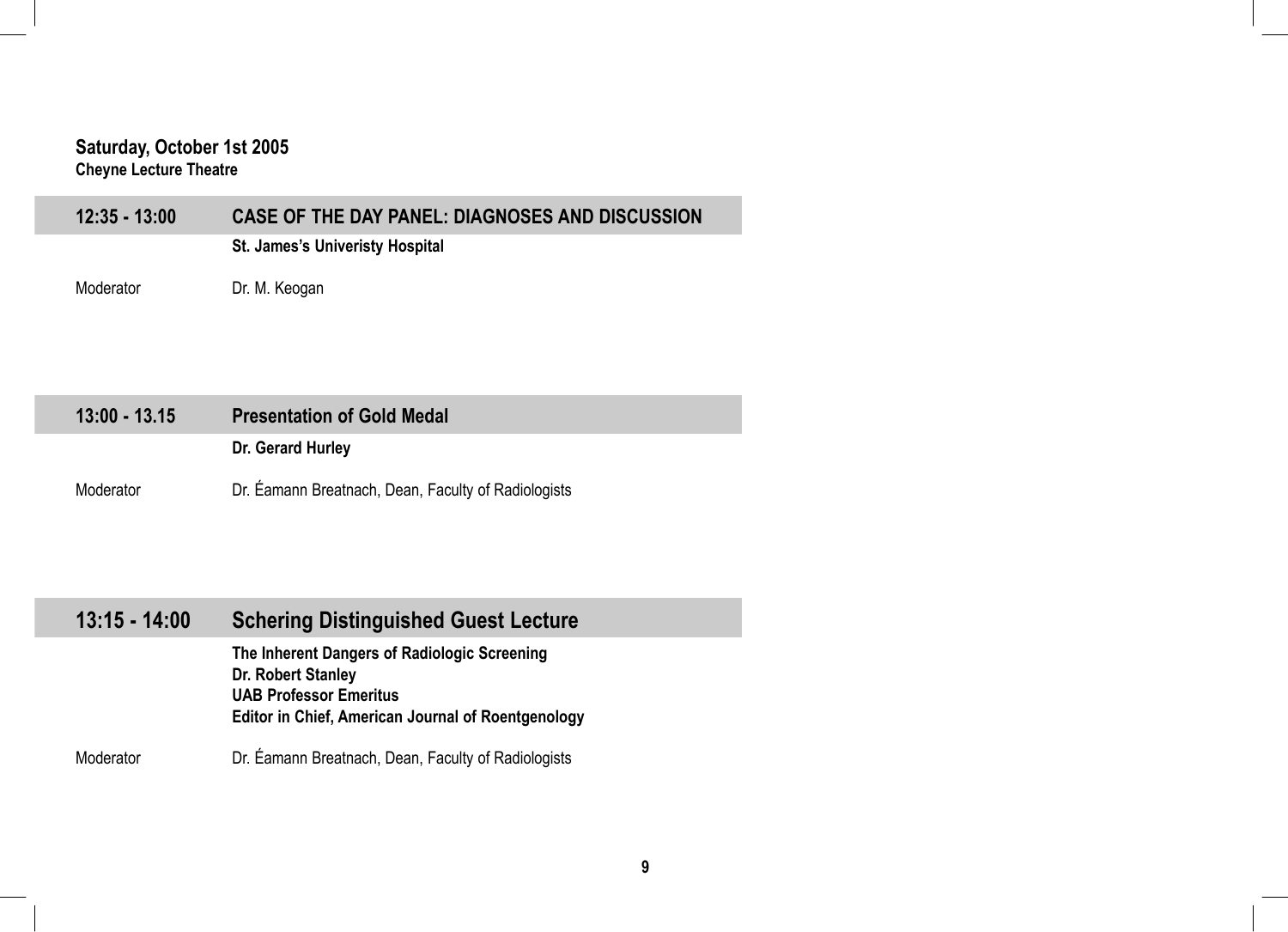#### **Saturday, October 1st 2005 Cheyne Lecture Theatre**

| <b>St. James's Univeristy Hospital</b> | 12:35 - 13:00 | CASE OF THE DAY PANEL: DIAGNOSES AND DISCUSSION |
|----------------------------------------|---------------|-------------------------------------------------|
|                                        |               |                                                 |

Moderator **Dr. M. Keogan** 

| $13:00 - 13.15$ | <b>Presentation of Gold Medal</b>                   |
|-----------------|-----------------------------------------------------|
|                 | Dr. Gerard Hurley                                   |
| Moderator       | Dr. Eamann Breatnach, Dean, Faculty of Radiologists |

| $13:15 - 14:00$ | <b>Schering Distinguished Guest Lecture</b>                                                                                                                      |
|-----------------|------------------------------------------------------------------------------------------------------------------------------------------------------------------|
|                 | The Inherent Dangers of Radiologic Screening<br>Dr. Robert Stanley<br><b>UAB Professor Emeritus</b><br><b>Editor in Chief, American Journal of Roentgenology</b> |
| Moderator       | Dr. Eamann Breatnach, Dean, Faculty of Radiologists                                                                                                              |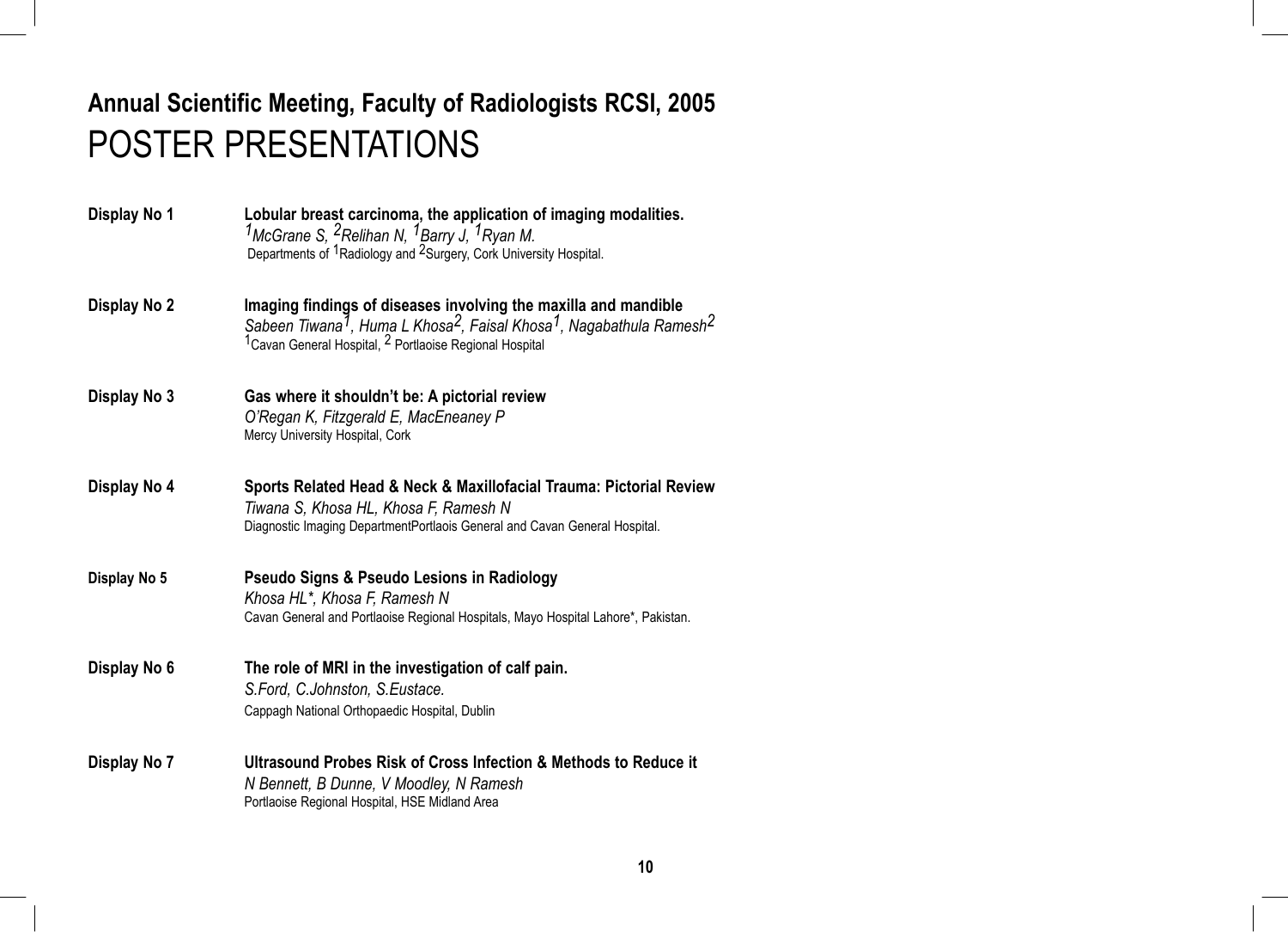# **Annual Scientific Meeting, Faculty of Radiologists RCSI, 2005** POSTER PRESENTATIONS

| Display No 1 | Lobular breast carcinoma, the application of imaging modalities.<br><sup>1</sup> McGrane S, <sup>2</sup> Relihan N, <sup>1</sup> Barry J, <sup>1</sup> Ryan M.<br>Departments of <sup>1</sup> Radiology and <sup>2</sup> Surgery, Cork University Hospital.               |
|--------------|---------------------------------------------------------------------------------------------------------------------------------------------------------------------------------------------------------------------------------------------------------------------------|
| Display No 2 | Imaging findings of diseases involving the maxilla and mandible<br>Sabeen Tiwana <sup>7</sup> , Huma L Khosa <sup>2</sup> , Faisal Khosa <sup>1</sup> , Nagabathula Ramesh <sup>2</sup><br><sup>1</sup> Cavan General Hospital, <sup>2</sup> Portlaoise Regional Hospital |
| Display No 3 | Gas where it shouldn't be: A pictorial review<br>O'Regan K, Fitzgerald E, MacEneaney P<br>Mercy University Hospital, Cork                                                                                                                                                 |
| Display No 4 | Sports Related Head & Neck & Maxillofacial Trauma: Pictorial Review<br>Tiwana S, Khosa HL, Khosa F, Ramesh N<br>Diagnostic Imaging DepartmentPortlaois General and Cavan General Hospital.                                                                                |
| Display No 5 | Pseudo Signs & Pseudo Lesions in Radiology<br>Khosa HL*, Khosa F, Ramesh N<br>Cavan General and Portlaoise Regional Hospitals, Mayo Hospital Lahore*, Pakistan.                                                                                                           |
| Display No 6 | The role of MRI in the investigation of calf pain.<br>S.Ford, C.Johnston, S.Eustace.<br>Cappagh National Orthopaedic Hospital, Dublin                                                                                                                                     |
| Display No 7 | Ultrasound Probes Risk of Cross Infection & Methods to Reduce it<br>N Bennett, B Dunne, V Moodley, N Ramesh<br>Portlaoise Regional Hospital, HSE Midland Area                                                                                                             |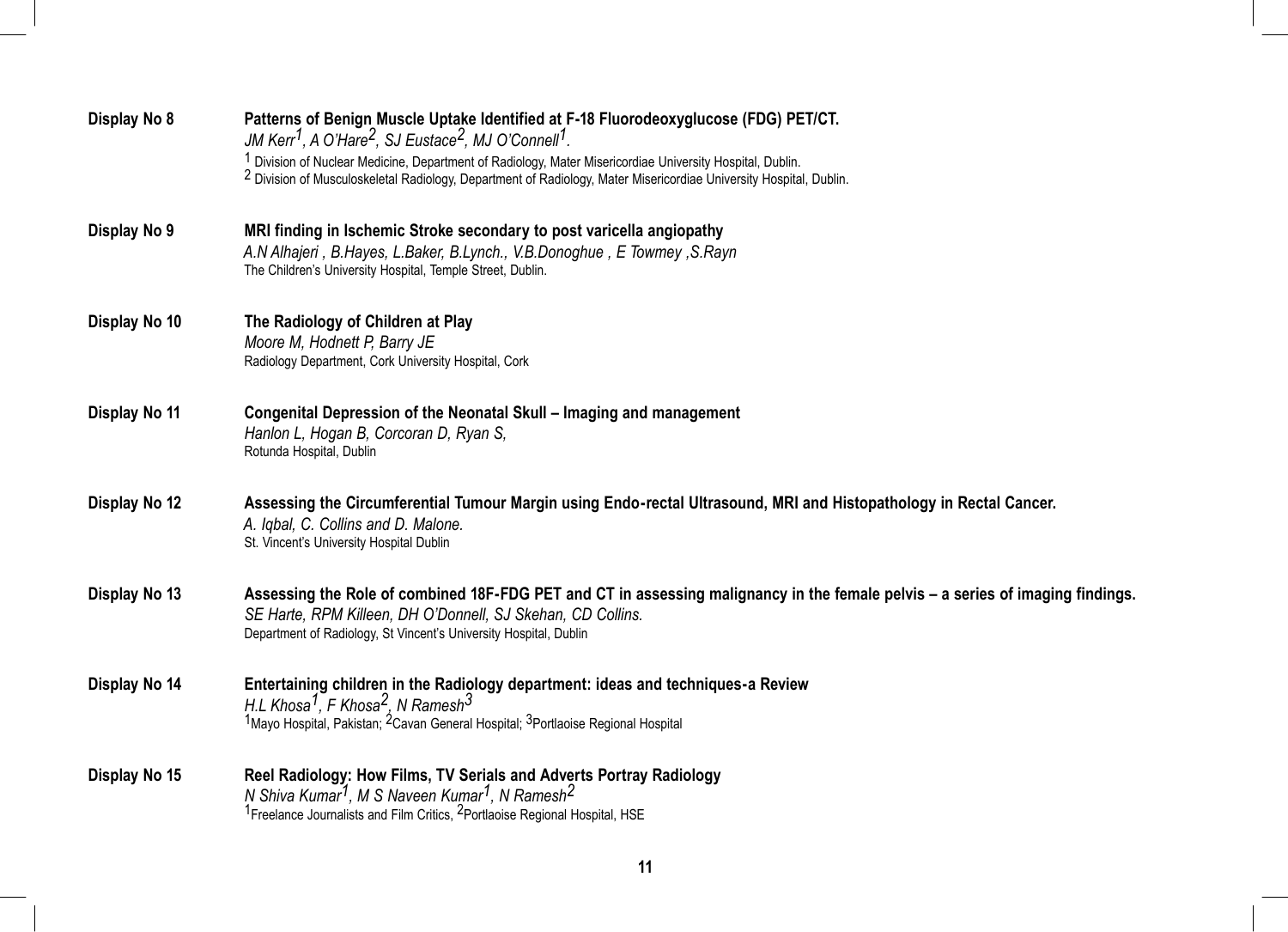| Display No 8  | Patterns of Benign Muscle Uptake Identified at F-18 Fluorodeoxyglucose (FDG) PET/CT.<br>JM Kerr <sup>1</sup> , A O'Hare <sup>2</sup> , SJ Eustace <sup>2</sup> , MJ O'Connell <sup>1</sup> .                                                                                      |
|---------------|-----------------------------------------------------------------------------------------------------------------------------------------------------------------------------------------------------------------------------------------------------------------------------------|
|               | <sup>1</sup> Division of Nuclear Medicine, Department of Radiology, Mater Misericordiae University Hospital, Dublin.<br><sup>2</sup> Division of Musculoskeletal Radiology, Department of Radiology, Mater Misericordiae University Hospital, Dublin.                             |
| Display No 9  | MRI finding in Ischemic Stroke secondary to post varicella angiopathy<br>A.N Alhajeri, B.Hayes, L.Baker, B.Lynch., V.B.Donoghue, E Towmey, S.Rayn<br>The Children's University Hospital, Temple Street, Dublin.                                                                   |
| Display No 10 | The Radiology of Children at Play<br>Moore M, Hodnett P, Barry JE<br>Radiology Department, Cork University Hospital, Cork                                                                                                                                                         |
| Display No 11 | Congenital Depression of the Neonatal Skull - Imaging and management<br>Hanlon L, Hogan B, Corcoran D, Ryan S,<br>Rotunda Hospital, Dublin                                                                                                                                        |
| Display No 12 | Assessing the Circumferential Tumour Margin using Endo-rectal Ultrasound, MRI and Histopathology in Rectal Cancer.<br>A. Igbal, C. Collins and D. Malone.<br>St. Vincent's University Hospital Dublin                                                                             |
| Display No 13 | Assessing the Role of combined 18F-FDG PET and CT in assessing malignancy in the female pelvis – a series of imaging findings.<br>SE Harte, RPM Killeen, DH O'Donnell, SJ Skehan, CD Collins.<br>Department of Radiology, St Vincent's University Hospital, Dublin                |
| Display No 14 | Entertaining children in the Radiology department: ideas and techniques-a Review<br>H.L Khosa <sup>1</sup> , F Khosa <sup>2</sup> , N Ramesh <sup>3</sup><br><sup>1</sup> Mayo Hospital, Pakistan; <sup>2</sup> Cavan General Hospital; <sup>3</sup> Portlaoise Regional Hospital |
| Display No 15 | Reel Radiology: How Films, TV Serials and Adverts Portray Radiology<br>N Shiva Kumar <sup>1</sup> , M S Naveen Kumar <sup>1</sup> , N Ramesh <sup>2</sup><br><sup>1</sup> Freelance Journalists and Film Critics, <sup>2</sup> Portlaoise Regional Hospital, HSE                  |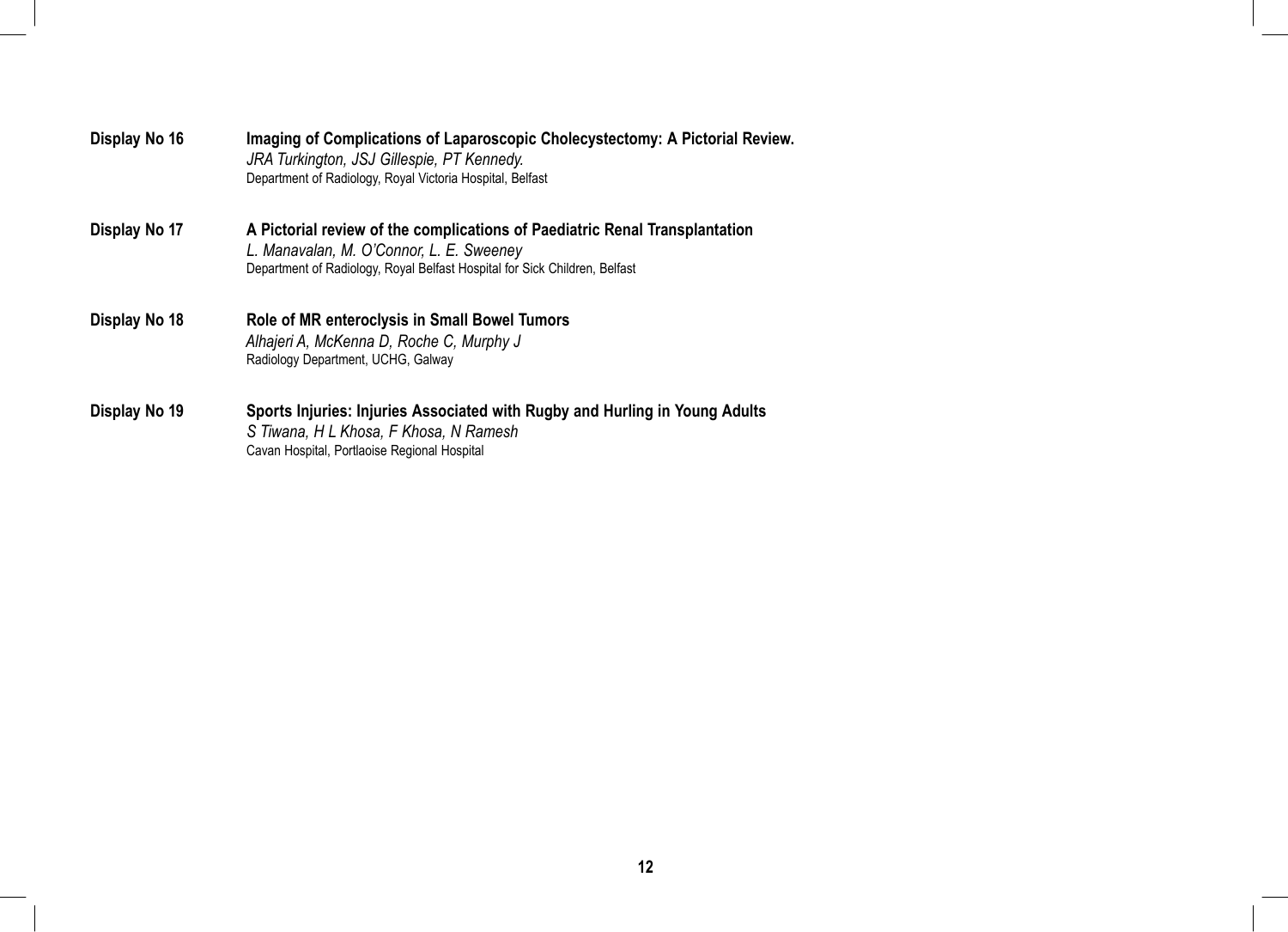| Display No 16 | Imaging of Complications of Laparoscopic Cholecystectomy: A Pictorial Review.<br>JRA Turkington, JSJ Gillespie, PT Kennedy.<br>Department of Radiology, Royal Victoria Hospital, Belfast              |
|---------------|-------------------------------------------------------------------------------------------------------------------------------------------------------------------------------------------------------|
| Display No 17 | A Pictorial review of the complications of Paediatric Renal Transplantation<br>L. Manavalan, M. O'Connor, L. E. Sweeney<br>Department of Radiology, Royal Belfast Hospital for Sick Children, Belfast |
| Display No 18 | Role of MR enteroclysis in Small Bowel Tumors<br>Alhajeri A, McKenna D, Roche C, Murphy J<br>Radiology Department, UCHG, Galway                                                                       |
| Display No 19 | Sports Injuries: Injuries Associated with Rugby and Hurling in Young Adults<br>S Tiwana, H L Khosa, F Khosa, N Ramesh<br>Cavan Hospital, Portlaoise Regional Hospital                                 |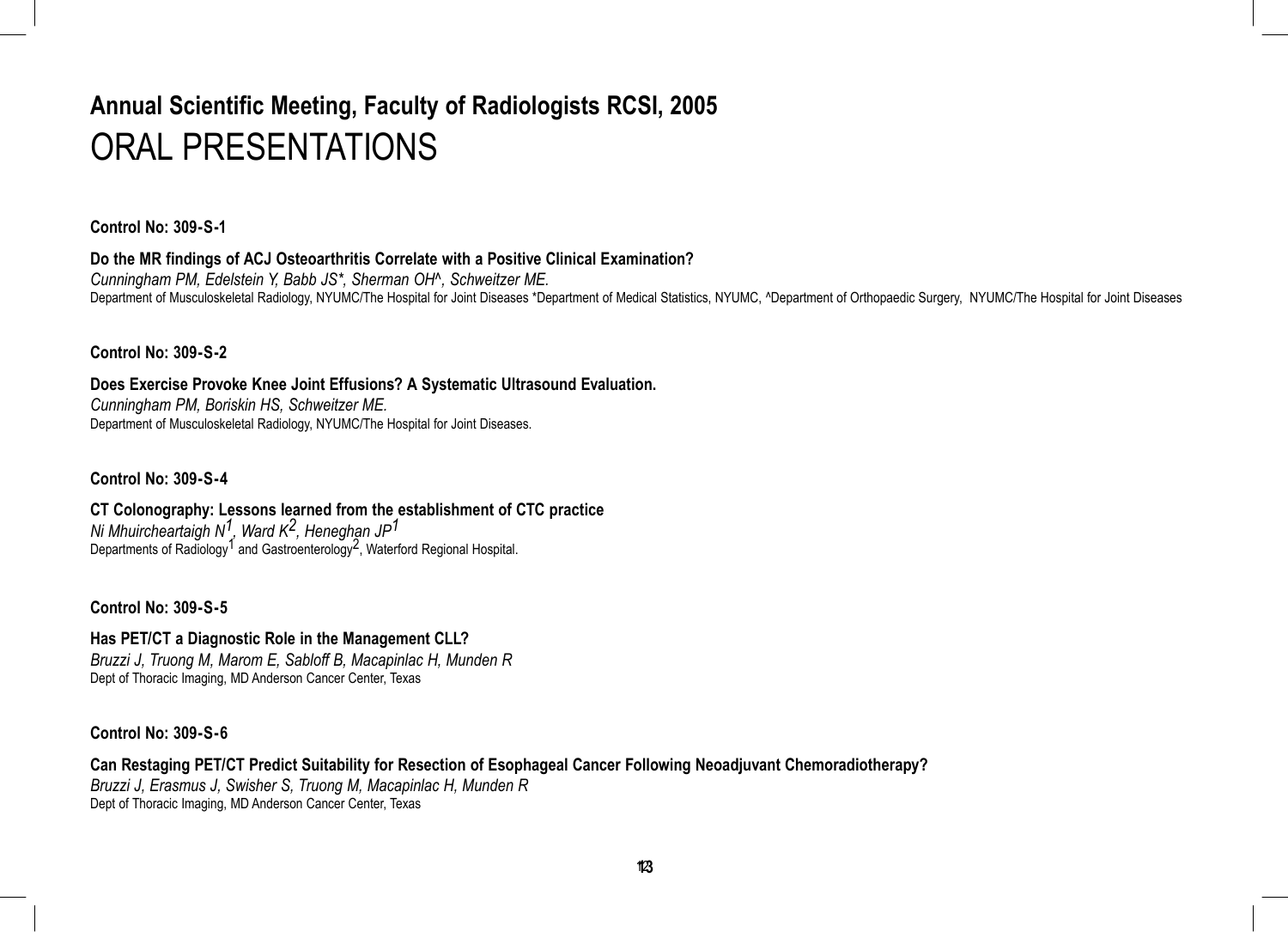# **Annual Scientific Meeting, Faculty of Radiologists RCSI, 2005** ORAL PRESENTATIONS

**Control No: 309-S-1**

**Do the MR findings of ACJ Osteoarthritis Correlate with a Positive Clinical Examination?**

*Cunningham PM, Edelstein Y, Babb JS\*, Sherman OH^, Schweitzer ME.* Department of Musculoskeletal Radiology, NYUMC/The Hospital for Joint Diseases \*Department of Medical Statistics, NYUMC, ^Department of Orthopaedic Surgery, NYUMC/The Hospital for Joint Diseases

**Control No: 309-S-2**

**Does Exercise Provoke Knee Joint Effusions? A Systematic Ultrasound Evaluation.** *Cunningham PM, Boriskin HS, Schweitzer ME.* Department of Musculoskeletal Radiology, NYUMC/The Hospital for Joint Diseases.

**Control No: 309-S-4**

**CT Colonography: Lessons learned from the establishment of CTC practice** *Ni Mhuircheartaigh N1, Ward K2, Heneghan JP1* Departments of Radiology<sup>1</sup> and Gastroenterology<sup>2</sup>, Waterford Regional Hospital.

**Control No: 309-S-5**

**Has PET/CT a Diagnostic Role in the Management CLL?** *Bruzzi J, Truong M, Marom E, Sabloff B, Macapinlac H, Munden R* Dept of Thoracic Imaging, MD Anderson Cancer Center, Texas

#### **Control No: 309-S-6**

**Can Restaging PET/CT Predict Suitability for Resection of Esophageal Cancer Following Neoadjuvant Chemoradiotherapy?** *Bruzzi J, Erasmus J, Swisher S, Truong M, Macapinlac H, Munden R* Dept of Thoracic Imaging, MD Anderson Cancer Center, Texas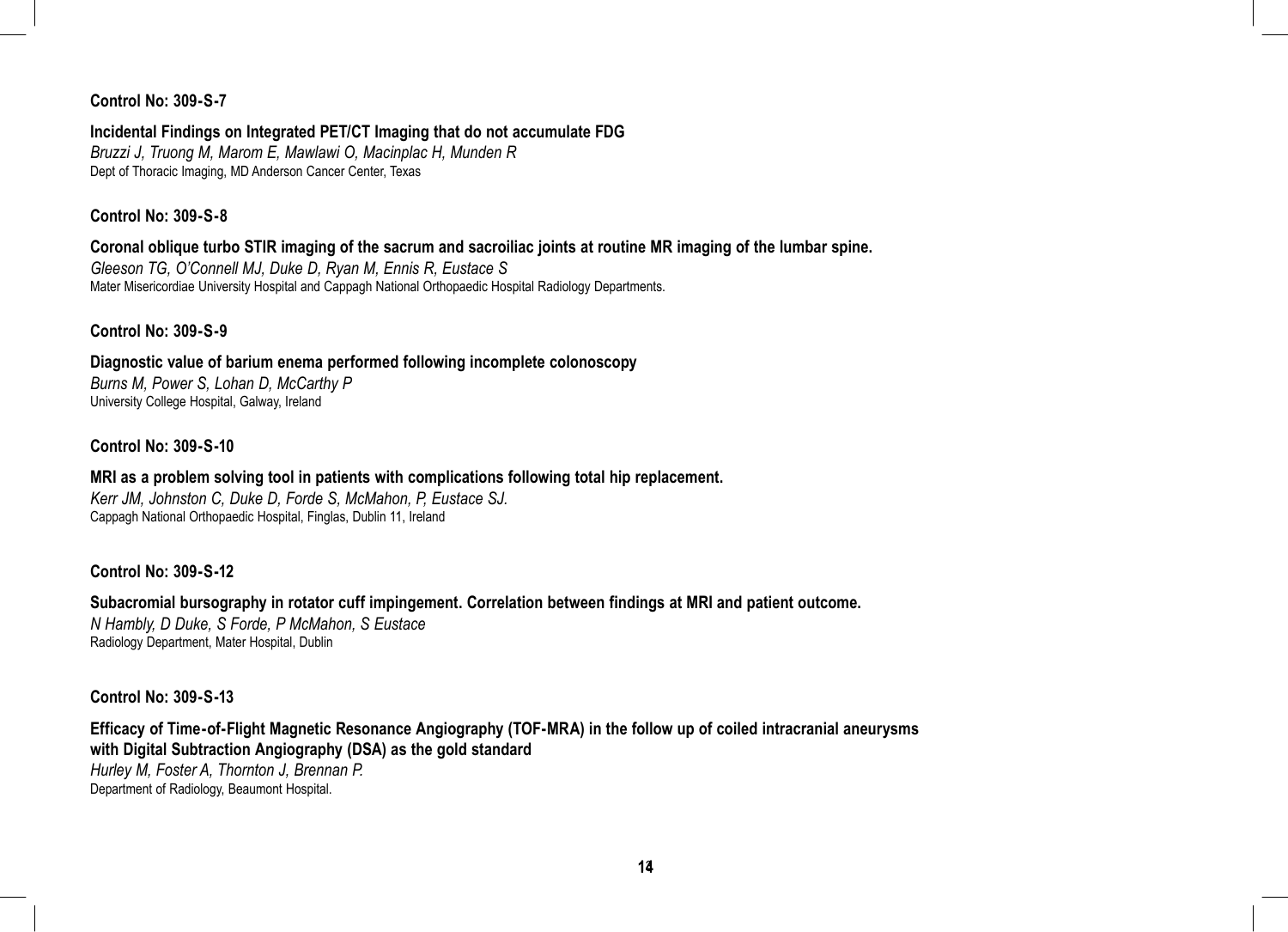#### **Control No: 309-S-7**

#### **Incidental Findings on Integrated PET/CT Imaging that do not accumulate FDG**

*Bruzzi J, Truong M, Marom E, Mawlawi O, Macinplac H, Munden R* Dept of Thoracic Imaging, MD Anderson Cancer Center, Texas

#### **Control No: 309-S-8**

#### **Coronal oblique turbo STIR imaging of the sacrum and sacroiliac joints at routine MR imaging of the lumbar spine.** *Gleeson TG, O'Connell MJ, Duke D, Ryan M, Ennis R, Eustace S*

Mater Misericordiae University Hospital and Cappagh National Orthopaedic Hospital Radiology Departments.

#### **Control No: 309-S-9**

**Diagnostic value of barium enema performed following incomplete colonoscopy** *Burns M, Power S, Lohan D, McCarthy P* University College Hospital, Galway, Ireland

#### **Control No: 309-S-10**

#### **MRI as a problem solving tool in patients with complications following total hip replacement.**

*Kerr JM, Johnston C, Duke D, Forde S, McMahon, P, Eustace SJ.* Cappagh National Orthopaedic Hospital, Finglas, Dublin 11, Ireland

#### **Control No: 309-S-12**

#### **Subacromial bursography in rotator cuff impingement. Correlation between findings at MRI and patient outcome.** *N Hambly, D Duke, S Forde, P McMahon, S Eustace* Radiology Department, Mater Hospital, Dublin

#### **Control No: 309-S-13**

#### **Efficacy of Time-of-Flight Magnetic Resonance Angiography (TOF-MRA) in the follow up of coiled intracranial aneurysms with Digital Subtraction Angiography (DSA) as the gold standard** *Hurley M, Foster A, Thornton J, Brennan P.*

Department of Radiology, Beaumont Hospital.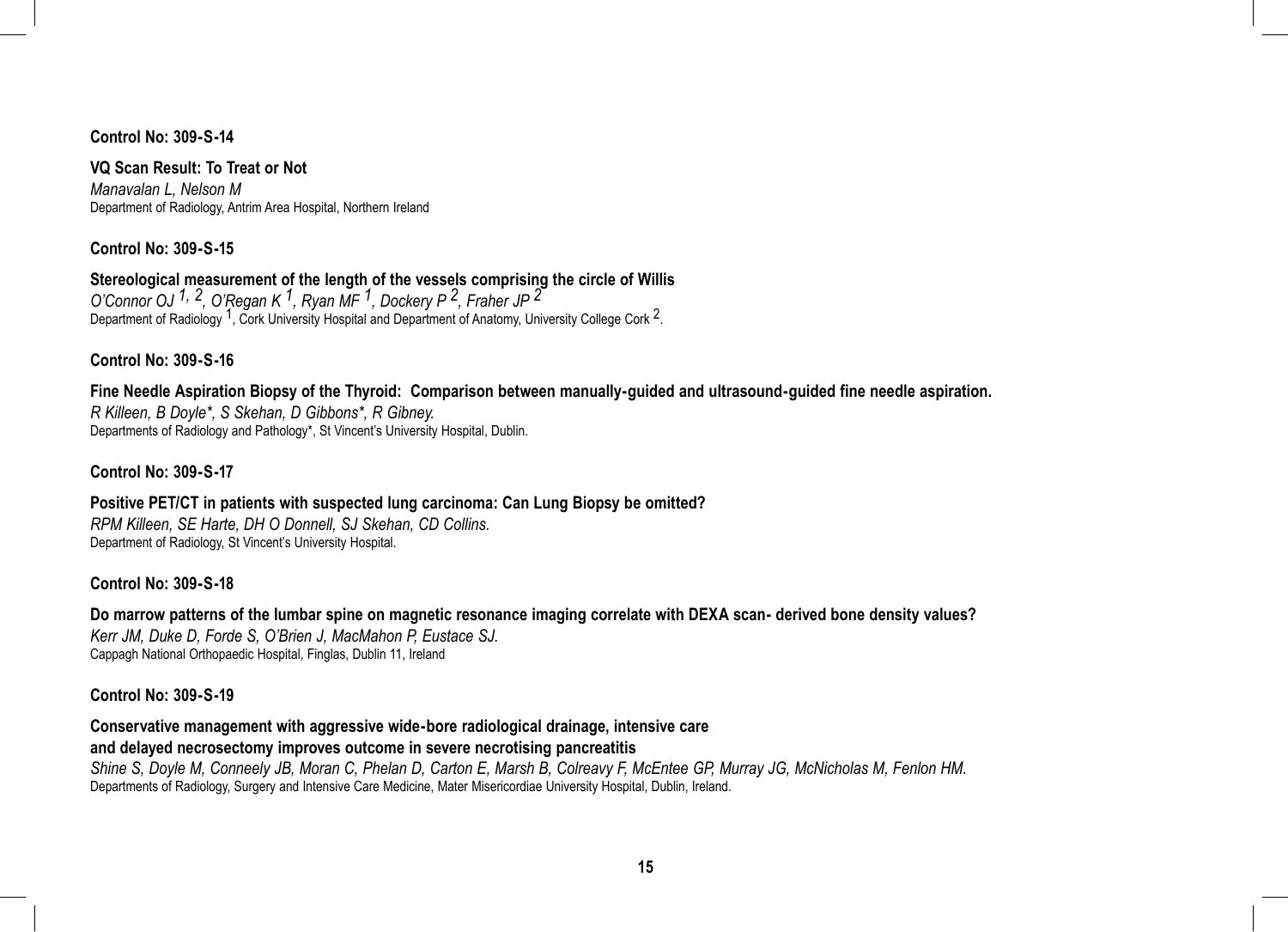**Control No: 309-S-14**

**VQ Scan Result: To Treat or Not**  *Manavalan L, Nelson M* Department of Radiology, Antrim Area Hospital, Northern Ireland

**Control No: 309-S-15**

**Stereological measurement of the length of the vessels comprising the circle of Willis** *O'Connor OJ 1, 2, O'Regan K 1, Ryan MF 1, Dockery P 2, Fraher JP 2* Department of Radiology <sup>1</sup>, Cork University Hospital and Department of Anatomy, University College Cork <sup>2</sup>.

**Control No: 309-S-16**

**Fine Needle Aspiration Biopsy of the Thyroid: Comparison between manually-guided and ultrasound-guided fine needle aspiration.** *R Killeen, B Doyle\*, S Skehan, D Gibbons\*, R Gibney.* Departments of Radiology and Pathology\*, St Vincent's University Hospital, Dublin.

**Control No: 309-S-17**

**Positive PET/CT in patients with suspected lung carcinoma: Can Lung Biopsy be omitted?** *RPM Killeen, SE Harte, DH O Donnell, SJ Skehan, CD Collins.* Department of Radiology, St Vincent's University Hospital.

**Control No: 309-S-18**

**Do marrow patterns of the lumbar spine on magnetic resonance imaging correlate with DEXA scan- derived bone density values?** *Kerr JM, Duke D, Forde S, O'Brien J, MacMahon P, Eustace SJ.* Cappagh National Orthopaedic Hospital, Finglas, Dublin 11, Ireland

**Control No: 309-S-19**

**Conservative management with aggressive wide-bore radiological drainage, intensive care and delayed necrosectomy improves outcome in severe necrotising pancreatitis**

*Shine S, Doyle M, Conneely JB, Moran C, Phelan D, Carton E, Marsh B, Colreavy F, McEntee GP, Murray JG, McNicholas M, Fenlon HM.*  Departments of Radiology, Surgery and Intensive Care Medicine, Mater Misericordiae University Hospital, Dublin, Ireland.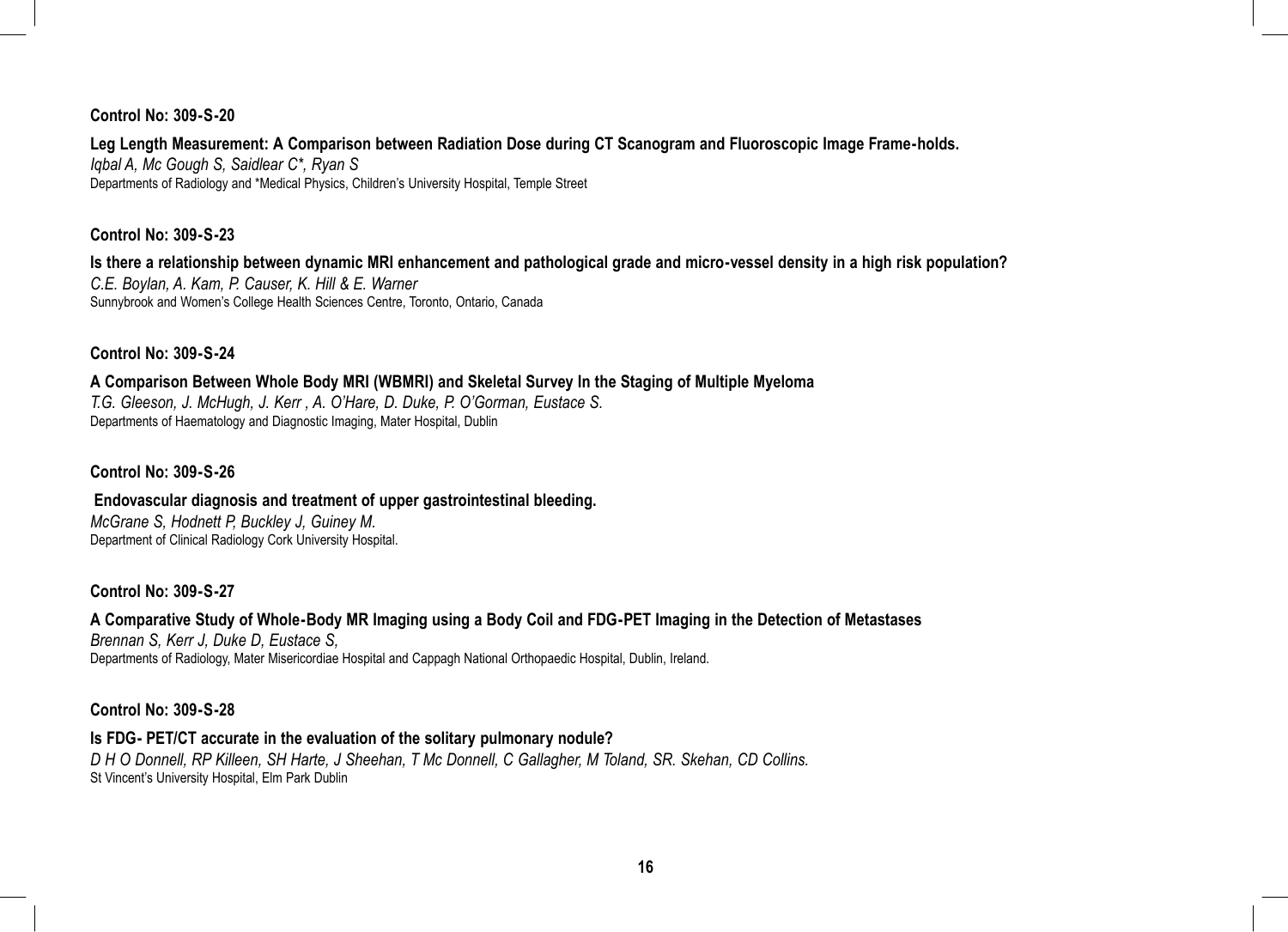#### **Control No: 309-S-20**

#### **Leg Length Measurement: A Comparison between Radiation Dose during CT Scanogram and Fluoroscopic Image Frame-holds.**

*Iqbal A, Mc Gough S, Saidlear C\*, Ryan S* Departments of Radiology and \*Medical Physics, Children's University Hospital, Temple Street

#### **Control No: 309-S-23**

**Is there a relationship between dynamic MRI enhancement and pathological grade and micro-vessel density in a high risk population?** *C.E. Boylan, A. Kam, P. Causer, K. Hill & E. Warner* Sunnybrook and Women's College Health Sciences Centre, Toronto, Ontario, Canada

#### **Control No: 309-S-24**

#### **A Comparison Between Whole Body MRI (WBMRI) and Skeletal Survey In the Staging of Multiple Myeloma** *T.G. Gleeson, J. McHugh, J. Kerr , A. O'Hare, D. Duke, P. O'Gorman, Eustace S.* Departments of Haematology and Diagnostic Imaging, Mater Hospital, Dublin

#### **Control No: 309-S-26**

#### **Endovascular diagnosis and treatment of upper gastrointestinal bleeding.** *McGrane S, Hodnett P, Buckley J, Guiney M.* Department of Clinical Radiology Cork University Hospital.

#### **Control No: 309-S-27**

#### **A Comparative Study of Whole-Body MR Imaging using a Body Coil and FDG-PET Imaging in the Detection of Metastases**

*Brennan S, Kerr J, Duke D, Eustace S,* Departments of Radiology, Mater Misericordiae Hospital and Cappagh National Orthopaedic Hospital, Dublin, Ireland.

#### **Control No: 309-S-28**

#### **Is FDG- PET/CT accurate in the evaluation of the solitary pulmonary nodule?**

*D H O Donnell, RP Killeen, SH Harte, J Sheehan, T Mc Donnell, C Gallagher, M Toland, SR. Skehan, CD Collins.* St Vincent's University Hospital, Elm Park Dublin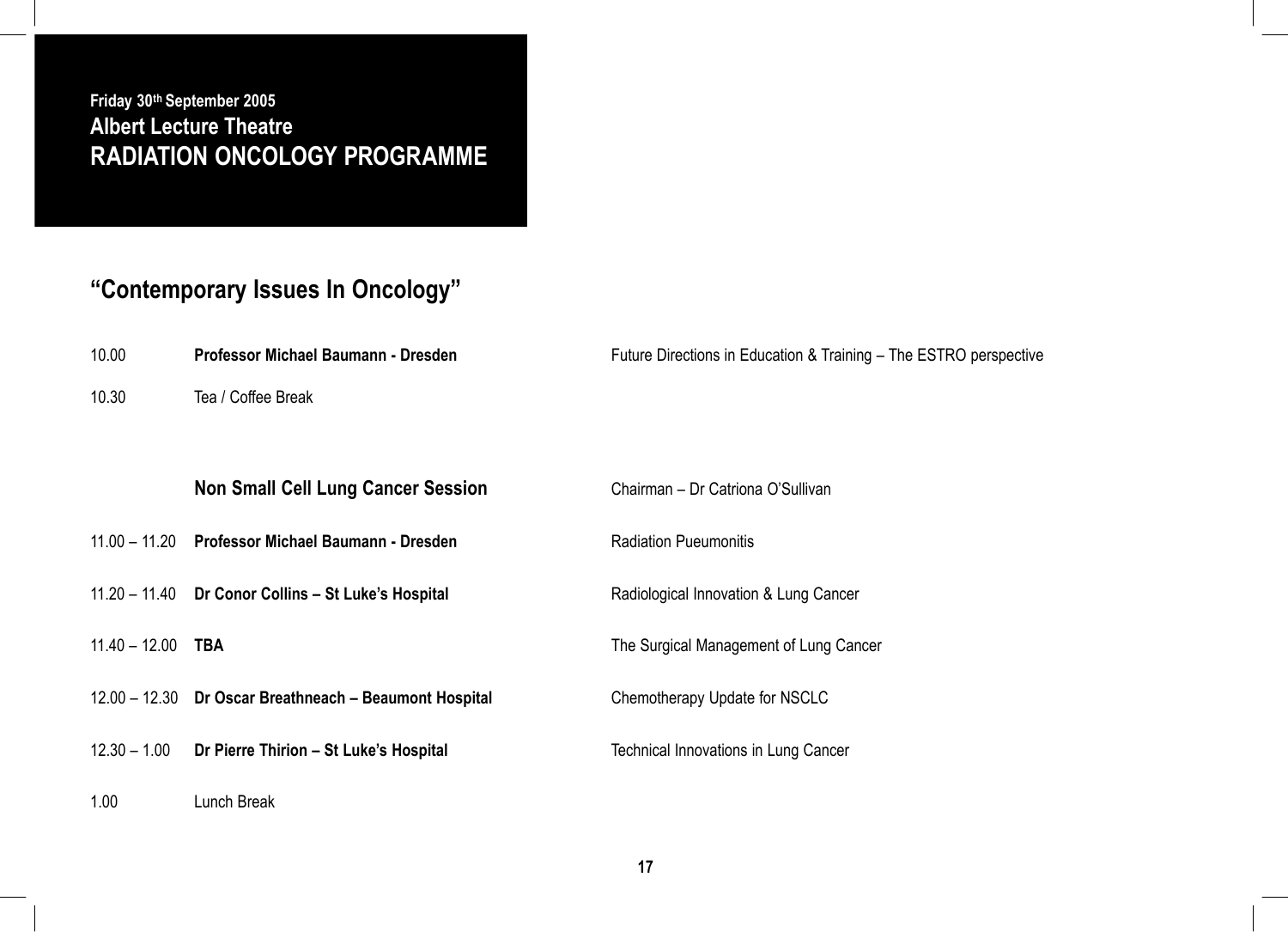### **Friday 30th September 2005 Albert Lecture Theatre RADIATION ONCOLOGY PROGRAMME**

# **"Contemporary Issues In Oncology"**

1.00 Lunch Break

| 10.00 | Professor Michael Baumann - Dresden | Future Directions in Education & Training - The ESTRO perspective |
|-------|-------------------------------------|-------------------------------------------------------------------|
| 10.30 | Tea / Coffee Break                  |                                                                   |

# **Non Small Cell Lung Cancer Session <b>Chairman** – Dr Catriona O'Sullivan 11.00 – 11.20 **Professor Michael Baumann - Dresden** Radiation Pueumonitis 11.20 – 11.40 **Dr Conor Collins – St Luke's Hospital** Radiological Innovation & Lung Cancer 11.40 – 12.00 **TBA** The Surgical Management of Lung Cancer 12.00 – 12.30 **Dr Oscar Breathneach – Beaumont Hospital** Chemotherapy Update for NSCLC 12.30 – 1.00 **Dr Pierre Thirion – St Luke's Hospital** Technical Innovations in Lung Cancer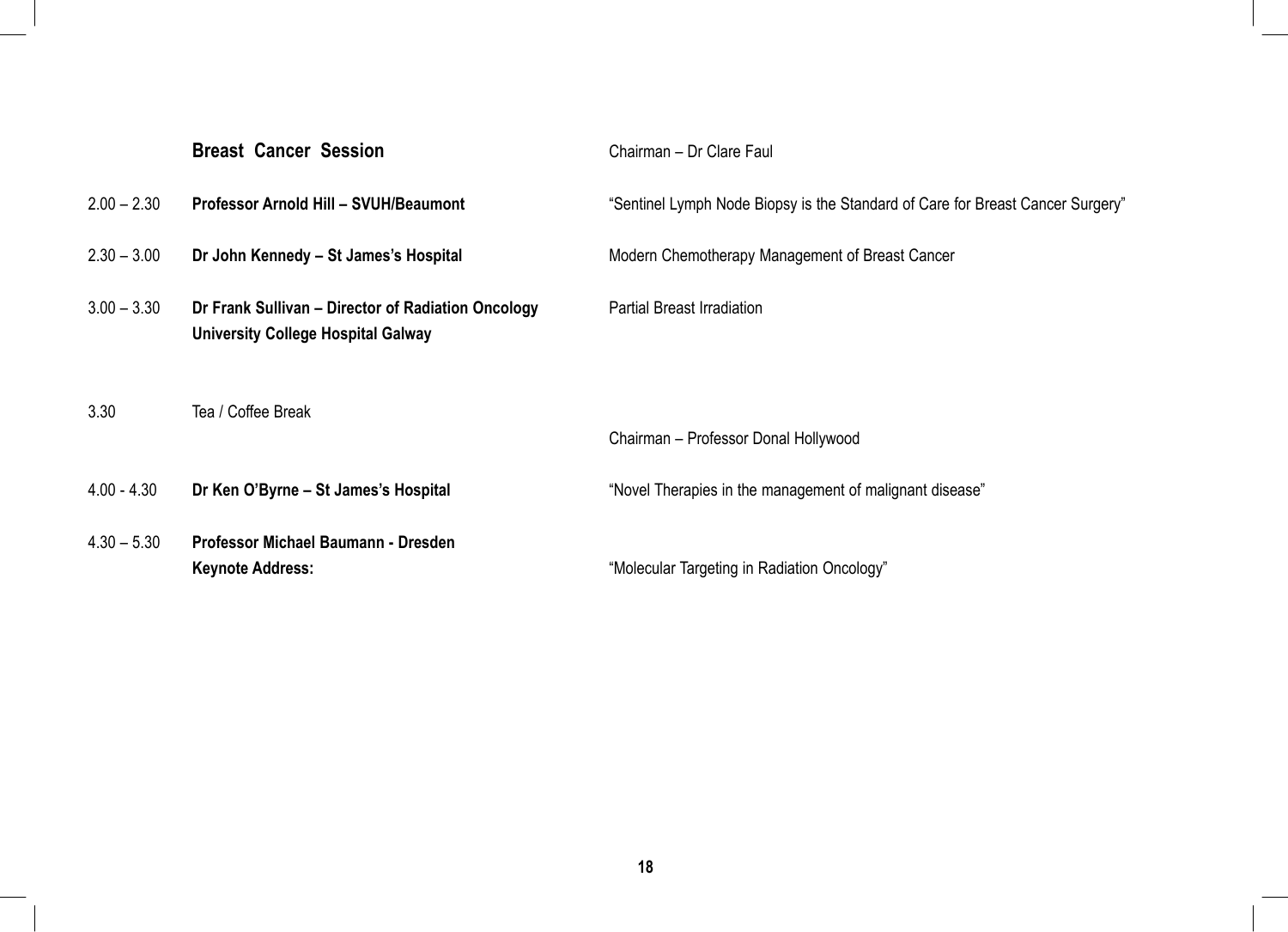|               | <b>Breast Cancer Session</b>                                                                    | Chairman - Dr Clare Faul                                                       |
|---------------|-------------------------------------------------------------------------------------------------|--------------------------------------------------------------------------------|
| $2.00 - 2.30$ | Professor Arnold Hill - SVUH/Beaumont                                                           | "Sentinel Lymph Node Biopsy is the Standard of Care for Breast Cancer Surgery" |
| $2.30 - 3.00$ | Dr John Kennedy - St James's Hospital                                                           | Modern Chemotherapy Management of Breast Cancer                                |
| $3.00 - 3.30$ | Dr Frank Sullivan – Director of Radiation Oncology<br><b>University College Hospital Galway</b> | <b>Partial Breast Irradiation</b>                                              |
| 3.30          | Tea / Coffee Break                                                                              | Chairman - Professor Donal Hollywood                                           |
|               |                                                                                                 |                                                                                |
| $4.00 - 4.30$ | Dr Ken O'Byrne – St James's Hospital                                                            | "Novel Therapies in the management of malignant disease"                       |
| $4.30 - 5.30$ | Professor Michael Baumann - Dresden<br><b>Keynote Address:</b>                                  | "Molecular Targeting in Radiation Oncology"                                    |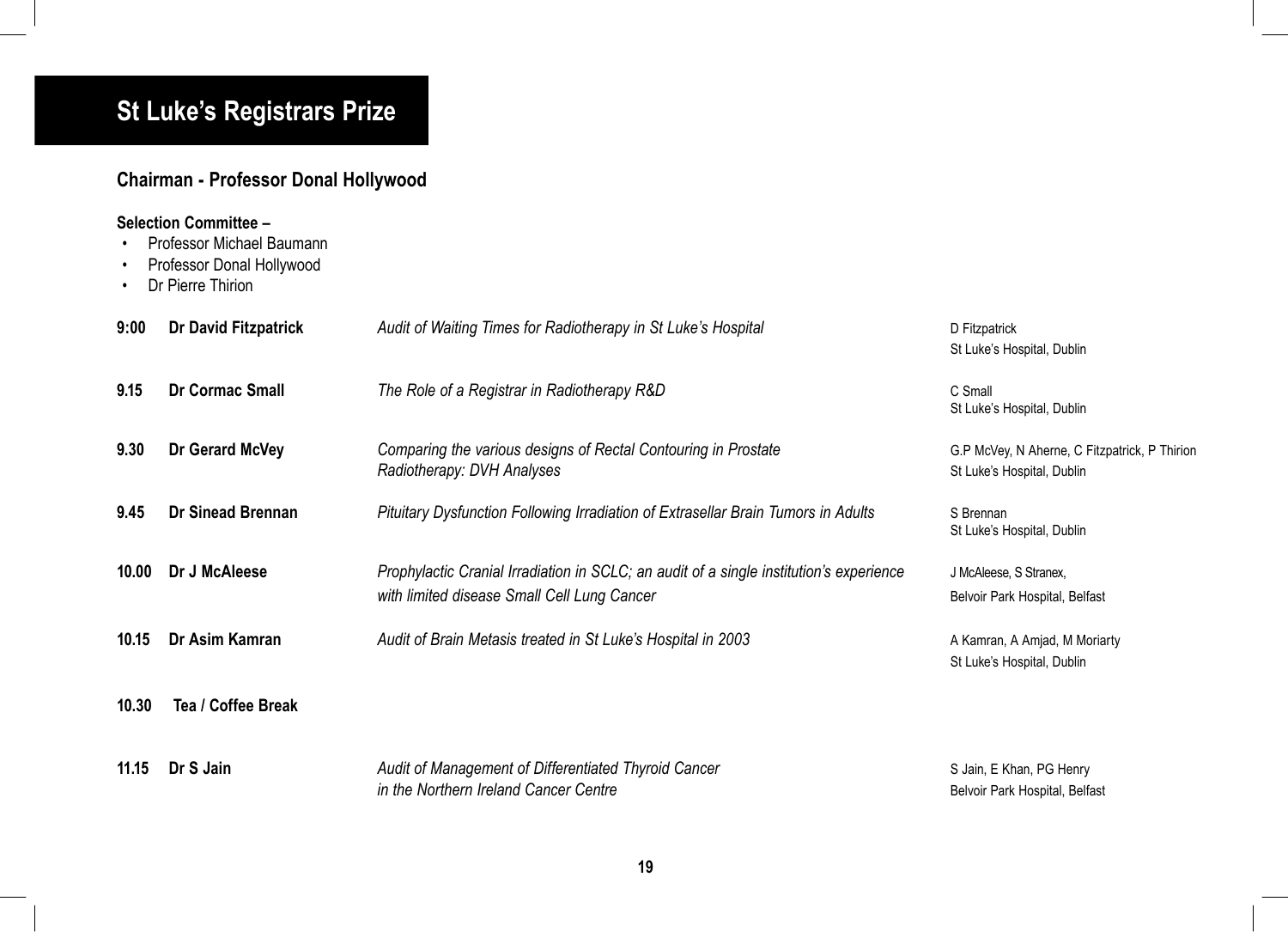# **St Luke's Registrars Prize**

### **Chairman - Professor Donal Hollywood**

|       | Selection Committee –<br>Professor Michael Baumann<br>Professor Donal Hollywood<br>Dr Pierre Thirion |                                                                                                                                        |                                                                             |
|-------|------------------------------------------------------------------------------------------------------|----------------------------------------------------------------------------------------------------------------------------------------|-----------------------------------------------------------------------------|
| 9:00  | Dr David Fitzpatrick                                                                                 | Audit of Waiting Times for Radiotherapy in St Luke's Hospital                                                                          | D Fitzpatrick<br>St Luke's Hospital, Dublin                                 |
| 9.15  | <b>Dr Cormac Small</b>                                                                               | The Role of a Registrar in Radiotherapy R&D                                                                                            | C Small<br>St Luke's Hospital, Dublin                                       |
| 9.30  | Dr Gerard McVey                                                                                      | Comparing the various designs of Rectal Contouring in Prostate<br>Radiotherapy: DVH Analyses                                           | G.P McVey, N Aherne, C Fitzpatrick, P Thirion<br>St Luke's Hospital, Dublin |
| 9.45  | <b>Dr Sinead Brennan</b>                                                                             | Pituitary Dysfunction Following Irradiation of Extrasellar Brain Tumors in Adults                                                      | S Brennan<br>St Luke's Hospital, Dublin                                     |
| 10.00 | Dr J McAleese                                                                                        | Prophylactic Cranial Irradiation in SCLC; an audit of a single institution's experience<br>with limited disease Small Cell Lung Cancer | J McAleese, S Stranex,<br>Belvoir Park Hospital, Belfast                    |
| 10.15 | Dr Asim Kamran                                                                                       | Audit of Brain Metasis treated in St Luke's Hospital in 2003                                                                           | A Kamran, A Amjad, M Moriarty<br>St Luke's Hospital, Dublin                 |
| 10.30 | Tea / Coffee Break                                                                                   |                                                                                                                                        |                                                                             |
| 11.15 | Dr S Jain                                                                                            | Audit of Management of Differentiated Thyroid Cancer<br>in the Northern Ireland Cancer Centre                                          | S Jain, E Khan, PG Henry<br>Belvoir Park Hospital, Belfast                  |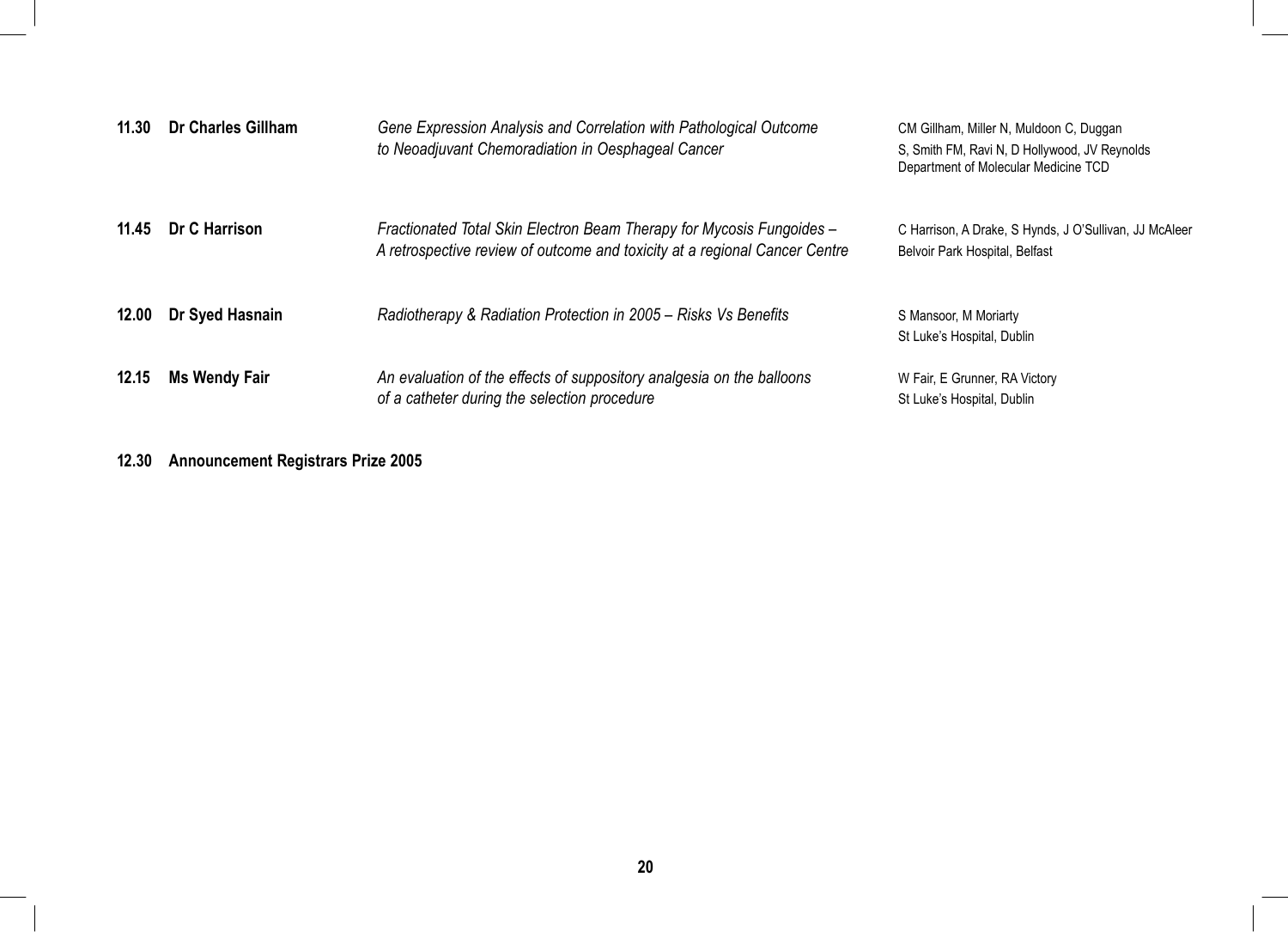| 11.30 | Dr Charles Gillham   | Gene Expression Analysis and Correlation with Pathological Outcome<br>to Neoadjuvant Chemoradiation in Oesphageal Cancer                            | CM Gillham, Miller N, Muldoon C, Duggan<br>S, Smith FM, Ravi N, D Hollywood, JV Reynolds<br>Department of Molecular Medicine TCD |
|-------|----------------------|-----------------------------------------------------------------------------------------------------------------------------------------------------|----------------------------------------------------------------------------------------------------------------------------------|
| 11.45 | Dr C Harrison        | Fractionated Total Skin Electron Beam Therapy for Mycosis Fungoides -<br>A retrospective review of outcome and toxicity at a regional Cancer Centre | C Harrison, A Drake, S Hynds, J O'Sullivan, JJ McAleer<br>Belvoir Park Hospital, Belfast                                         |
| 12.00 | Dr Syed Hasnain      | Radiotherapy & Radiation Protection in 2005 – Risks Vs Benefits                                                                                     | S Mansoor, M Moriarty<br>St Luke's Hospital, Dublin                                                                              |
| 12.15 | <b>Ms Wendy Fair</b> | An evaluation of the effects of suppository analgesia on the balloons<br>of a catheter during the selection procedure                               | W Fair, E Grunner, RA Victory<br>St Luke's Hospital, Dublin                                                                      |

**12.30 Announcement Registrars Prize 2005**